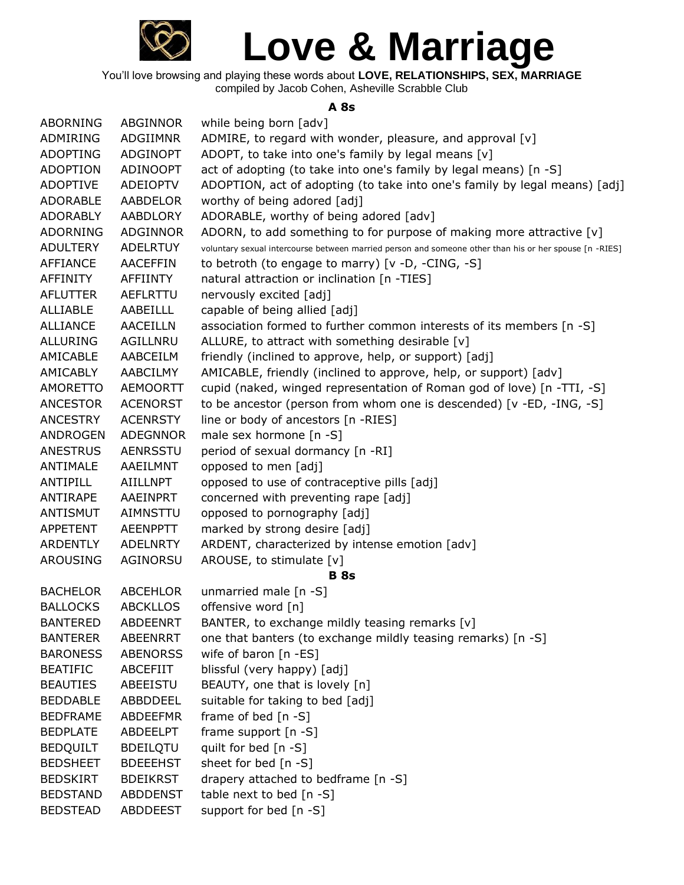

You'll love browsing and playing these words about **LOVE, RELATIONSHIPS, SEX, MARRIAGE** compiled by Jacob Cohen, Asheville Scrabble Club

### **A 8s**

| <b>ABORNING</b> | ABGINNOR        | while being born [adv]                                                                                 |
|-----------------|-----------------|--------------------------------------------------------------------------------------------------------|
| ADMIRING        | ADGIIMNR        | ADMIRE, to regard with wonder, pleasure, and approval [v]                                              |
| <b>ADOPTING</b> | ADGINOPT        | ADOPT, to take into one's family by legal means [v]                                                    |
| <b>ADOPTION</b> | ADINOOPT        | act of adopting (to take into one's family by legal means) [n -S]                                      |
| <b>ADOPTIVE</b> | ADEIOPTV        | ADOPTION, act of adopting (to take into one's family by legal means) [adj]                             |
| <b>ADORABLE</b> | AABDELOR        | worthy of being adored [adj]                                                                           |
| <b>ADORABLY</b> | AABDLORY        | ADORABLE, worthy of being adored [adv]                                                                 |
| <b>ADORNING</b> | <b>ADGINNOR</b> | ADORN, to add something to for purpose of making more attractive [v]                                   |
| <b>ADULTERY</b> | <b>ADELRTUY</b> | voluntary sexual intercourse between married person and someone other than his or her spouse [n -RIES] |
| <b>AFFIANCE</b> | <b>AACEFFIN</b> | to betroth (to engage to marry) [v -D, -CING, -S]                                                      |
| AFFINITY        | <b>AFFIINTY</b> | natural attraction or inclination [n -TIES]                                                            |
| <b>AFLUTTER</b> | AEFLRTTU        | nervously excited [adj]                                                                                |
| <b>ALLIABLE</b> | <b>AABEILLL</b> | capable of being allied [adj]                                                                          |
| <b>ALLIANCE</b> | <b>AACEILLN</b> | association formed to further common interests of its members [n -S]                                   |
| <b>ALLURING</b> | AGILLNRU        | ALLURE, to attract with something desirable [v]                                                        |
| AMICABLE        | AABCEILM        | friendly (inclined to approve, help, or support) [adj]                                                 |
| AMICABLY        | <b>AABCILMY</b> | AMICABLE, friendly (inclined to approve, help, or support) [adv]                                       |
| <b>AMORETTO</b> | <b>AEMOORTT</b> | cupid (naked, winged representation of Roman god of love) [n -TTI, -S]                                 |
| <b>ANCESTOR</b> | <b>ACENORST</b> | to be ancestor (person from whom one is descended) [v -ED, -ING, -S]                                   |
| <b>ANCESTRY</b> | <b>ACENRSTY</b> | line or body of ancestors [n -RIES]                                                                    |
| ANDROGEN        | <b>ADEGNNOR</b> | male sex hormone [n -S]                                                                                |
| <b>ANESTRUS</b> | <b>AENRSSTU</b> | period of sexual dormancy [n -RI]                                                                      |
| ANTIMALE        | AAEILMNT        | opposed to men [adj]                                                                                   |
| ANTIPILL        | <b>AIILLNPT</b> | opposed to use of contraceptive pills [adj]                                                            |
| ANTIRAPE        | AAEINPRT        | concerned with preventing rape [adj]                                                                   |
| ANTISMUT        | AIMNSTTU        | opposed to pornography [adj]                                                                           |
| <b>APPETENT</b> | <b>AEENPPTT</b> | marked by strong desire [adj]                                                                          |
| <b>ARDENTLY</b> | ADELNRTY        | ARDENT, characterized by intense emotion [adv]                                                         |
| AROUSING        | AGINORSU        | AROUSE, to stimulate [v]                                                                               |
|                 |                 | <b>B</b> 8s                                                                                            |
| <b>BACHELOR</b> | <b>ABCEHLOR</b> | unmarried male [n -S]                                                                                  |
| <b>BALLOCKS</b> | <b>ABCKLLOS</b> | offensive word [n]                                                                                     |
| <b>BANTERED</b> | <b>ABDEENRT</b> | BANTER, to exchange mildly teasing remarks [v]                                                         |
| <b>BANTERER</b> | ABEENRRT        | one that banters (to exchange mildly teasing remarks) [n -S]                                           |
| <b>BARONESS</b> | <b>ABENORSS</b> | wife of baron [n -ES]                                                                                  |
| <b>BEATIFIC</b> | ABCEFIIT        | blissful (very happy) [adj]                                                                            |
| <b>BEAUTIES</b> | ABEEISTU        | BEAUTY, one that is lovely [n]                                                                         |
| <b>BEDDABLE</b> | ABBDDEEL        | suitable for taking to bed [adj]                                                                       |
| <b>BEDFRAME</b> | ABDEEFMR        | frame of bed [n -S]                                                                                    |
| <b>BEDPLATE</b> | ABDEELPT        | frame support [n -S]                                                                                   |
| <b>BEDQUILT</b> | <b>BDEILQTU</b> | quilt for bed [n -S]                                                                                   |
| <b>BEDSHEET</b> | <b>BDEEEHST</b> | sheet for bed [n -S]                                                                                   |
| <b>BEDSKIRT</b> | <b>BDEIKRST</b> | drapery attached to bedframe [n -S]                                                                    |
| <b>BEDSTAND</b> | <b>ABDDENST</b> | table next to bed [n -S]                                                                               |
| <b>BEDSTEAD</b> | <b>ABDDEEST</b> | support for bed [n -S]                                                                                 |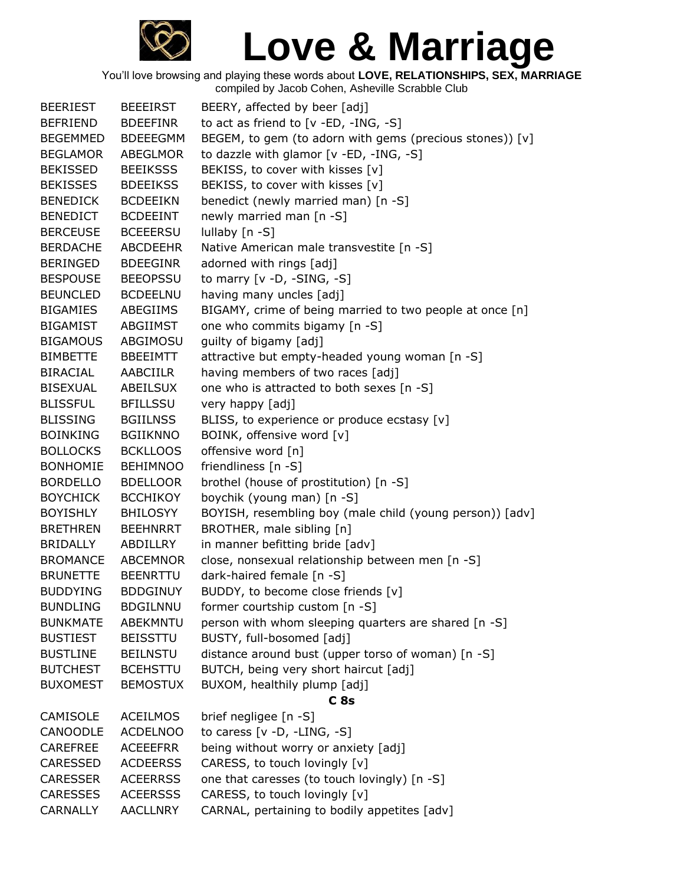

| <b>BEERIEST</b> | <b>BEEEIRST</b> | BEERY, affected by beer [adj]                            |
|-----------------|-----------------|----------------------------------------------------------|
| <b>BEFRIEND</b> | <b>BDEEFINR</b> | to act as friend to [v -ED, -ING, -S]                    |
| <b>BEGEMMED</b> | <b>BDEEEGMM</b> | BEGEM, to gem (to adorn with gems (precious stones)) [v] |
| <b>BEGLAMOR</b> | <b>ABEGLMOR</b> | to dazzle with glamor [v -ED, -ING, -S]                  |
| <b>BEKISSED</b> | <b>BEEIKSSS</b> | BEKISS, to cover with kisses [v]                         |
| <b>BEKISSES</b> | <b>BDEEIKSS</b> | BEKISS, to cover with kisses [v]                         |
| <b>BENEDICK</b> | <b>BCDEEIKN</b> | benedict (newly married man) [n -S]                      |
| <b>BENEDICT</b> | <b>BCDEEINT</b> | newly married man [n -S]                                 |
| <b>BERCEUSE</b> | <b>BCEEERSU</b> | lullaby [n -S]                                           |
| <b>BERDACHE</b> | <b>ABCDEEHR</b> | Native American male transvestite [n -S]                 |
| <b>BERINGED</b> | <b>BDEEGINR</b> | adorned with rings [adj]                                 |
| <b>BESPOUSE</b> | <b>BEEOPSSU</b> | to marry $[v -D, -SING, -S]$                             |
| <b>BEUNCLED</b> | <b>BCDEELNU</b> | having many uncles [adj]                                 |
| <b>BIGAMIES</b> | ABEGIIMS        | BIGAMY, crime of being married to two people at once [n] |
| <b>BIGAMIST</b> | ABGIIMST        | one who commits bigamy [n -S]                            |
| <b>BIGAMOUS</b> | ABGIMOSU        | guilty of bigamy [adj]                                   |
| <b>BIMBETTE</b> | <b>BBEEIMTT</b> | attractive but empty-headed young woman [n -S]           |
| <b>BIRACIAL</b> | AABCIILR        | having members of two races [adj]                        |
| <b>BISEXUAL</b> | ABEILSUX        | one who is attracted to both sexes [n -S]                |
| <b>BLISSFUL</b> | <b>BFILLSSU</b> | very happy [adj]                                         |
| <b>BLISSING</b> | <b>BGIILNSS</b> | BLISS, to experience or produce ecstasy [v]              |
| <b>BOINKING</b> | <b>BGIIKNNO</b> | BOINK, offensive word [v]                                |
| <b>BOLLOCKS</b> | <b>BCKLLOOS</b> | offensive word [n]                                       |
| <b>BONHOMIE</b> | <b>BEHIMNOO</b> | friendliness [n -S]                                      |
| <b>BORDELLO</b> | <b>BDELLOOR</b> | brothel (house of prostitution) [n -S]                   |
| <b>BOYCHICK</b> | <b>BCCHIKOY</b> | boychik (young man) [n -S]                               |
| <b>BOYISHLY</b> | <b>BHILOSYY</b> | BOYISH, resembling boy (male child (young person)) [adv] |
| <b>BRETHREN</b> | <b>BEEHNRRT</b> | BROTHER, male sibling [n]                                |
| <b>BRIDALLY</b> | ABDILLRY        | in manner befitting bride [adv]                          |
| <b>BROMANCE</b> | <b>ABCEMNOR</b> | close, nonsexual relationship between men [n -S]         |
| <b>BRUNETTE</b> | <b>BEENRTTU</b> | dark-haired female [n -S]                                |
| <b>BUDDYING</b> | <b>BDDGINUY</b> | BUDDY, to become close friends [v]                       |
| <b>BUNDLING</b> | <b>BDGILNNU</b> | former courtship custom [n -S]                           |
| <b>BUNKMATE</b> | ABEKMNTU        | person with whom sleeping quarters are shared [n -S]     |
| <b>BUSTIEST</b> | <b>BEISSTTU</b> | BUSTY, full-bosomed [adj]                                |
| <b>BUSTLINE</b> | <b>BEILNSTU</b> | distance around bust (upper torso of woman) [n -S]       |
| <b>BUTCHEST</b> | <b>BCEHSTTU</b> | BUTCH, being very short haircut [adj]                    |
| <b>BUXOMEST</b> | <b>BEMOSTUX</b> | BUXOM, healthily plump [adj]                             |
|                 |                 | C <sub>8s</sub>                                          |
| <b>CAMISOLE</b> | <b>ACEILMOS</b> | brief negligee [n -S]                                    |
| <b>CANOODLE</b> | <b>ACDELNOO</b> | to caress $[v -D, -LING, -S]$                            |
| <b>CAREFREE</b> | <b>ACEEEFRR</b> | being without worry or anxiety [adj]                     |
| <b>CARESSED</b> | <b>ACDEERSS</b> | CARESS, to touch lovingly [v]                            |
| <b>CARESSER</b> | <b>ACEERRSS</b> | one that caresses (to touch lovingly) [n -S]             |
| <b>CARESSES</b> | <b>ACEERSSS</b> | CARESS, to touch lovingly [v]                            |
| CARNALLY        | <b>AACLLNRY</b> | CARNAL, pertaining to bodily appetites [adv]             |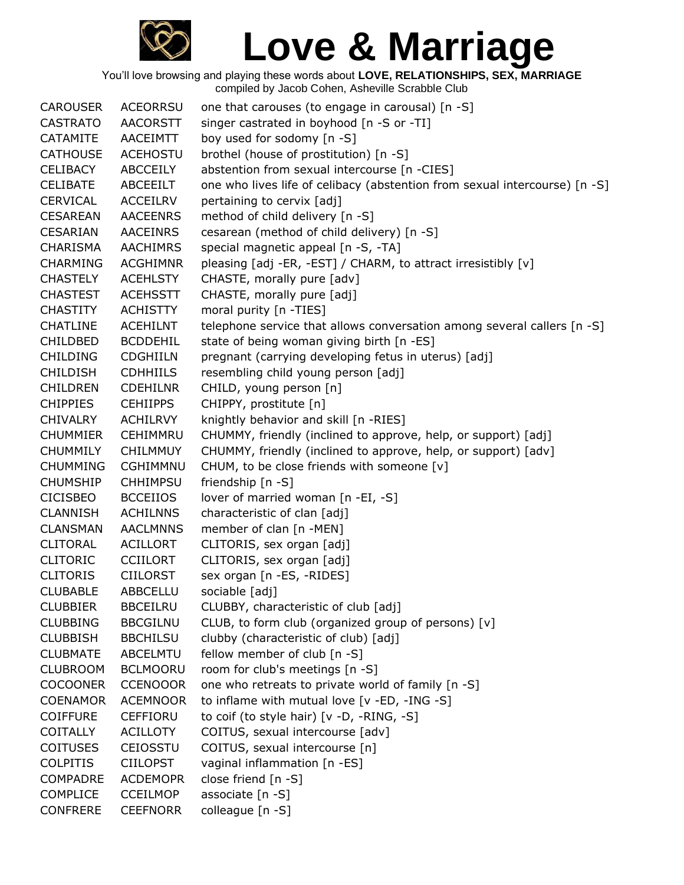

| <b>CAROUSER</b> | <b>ACEORRSU</b> | one that carouses (to engage in carousal) [n -S]                           |
|-----------------|-----------------|----------------------------------------------------------------------------|
| <b>CASTRATO</b> | <b>AACORSTT</b> | singer castrated in boyhood [n -S or -TI]                                  |
| <b>CATAMITE</b> | AACEIMTT        | boy used for sodomy [n -S]                                                 |
| <b>CATHOUSE</b> | <b>ACEHOSTU</b> | brothel (house of prostitution) [n -S]                                     |
| <b>CELIBACY</b> | <b>ABCCEILY</b> | abstention from sexual intercourse [n -CIES]                               |
| <b>CELIBATE</b> | ABCEEILT        | one who lives life of celibacy (abstention from sexual intercourse) [n -S] |
| <b>CERVICAL</b> | <b>ACCEILRV</b> | pertaining to cervix [adj]                                                 |
| <b>CESAREAN</b> | <b>AACEENRS</b> | method of child delivery [n -S]                                            |
| <b>CESARIAN</b> | <b>AACEINRS</b> | cesarean (method of child delivery) [n -S]                                 |
| CHARISMA        | <b>AACHIMRS</b> | special magnetic appeal [n -S, -TA]                                        |
| <b>CHARMING</b> | <b>ACGHIMNR</b> | pleasing [adj -ER, -EST] / CHARM, to attract irresistibly [v]              |
| <b>CHASTELY</b> | <b>ACEHLSTY</b> | CHASTE, morally pure [adv]                                                 |
| <b>CHASTEST</b> | <b>ACEHSSTT</b> | CHASTE, morally pure [adj]                                                 |
| <b>CHASTITY</b> | ACHISTTY        | moral purity [n -TIES]                                                     |
| <b>CHATLINE</b> | <b>ACEHILNT</b> | telephone service that allows conversation among several callers [n -S]    |
| <b>CHILDBED</b> | <b>BCDDEHIL</b> | state of being woman giving birth [n -ES]                                  |
| <b>CHILDING</b> | <b>CDGHIILN</b> | pregnant (carrying developing fetus in uterus) [adj]                       |
| <b>CHILDISH</b> | <b>CDHHIILS</b> | resembling child young person [adj]                                        |
| <b>CHILDREN</b> | <b>CDEHILNR</b> | CHILD, young person [n]                                                    |
| <b>CHIPPIES</b> | <b>CEHIIPPS</b> | CHIPPY, prostitute [n]                                                     |
| <b>CHIVALRY</b> | <b>ACHILRVY</b> | knightly behavior and skill [n -RIES]                                      |
| <b>CHUMMIER</b> | <b>CEHIMMRU</b> | CHUMMY, friendly (inclined to approve, help, or support) [adj]             |
| <b>CHUMMILY</b> | <b>CHILMMUY</b> | CHUMMY, friendly (inclined to approve, help, or support) [adv]             |
| <b>CHUMMING</b> | CGHIMMNU        | CHUM, to be close friends with someone [v]                                 |
| <b>CHUMSHIP</b> | <b>CHHIMPSU</b> | friendship [n -S]                                                          |
| <b>CICISBEO</b> | <b>BCCEIIOS</b> | lover of married woman [n -EI, -S]                                         |
| <b>CLANNISH</b> | <b>ACHILNNS</b> | characteristic of clan [adj]                                               |
| <b>CLANSMAN</b> | <b>AACLMNNS</b> | member of clan [n -MEN]                                                    |
| <b>CLITORAL</b> | <b>ACILLORT</b> | CLITORIS, sex organ [adj]                                                  |
| <b>CLITORIC</b> | <b>CCIILORT</b> | CLITORIS, sex organ [adj]                                                  |
| <b>CLITORIS</b> | <b>CIILORST</b> | sex organ [n -ES, -RIDES]                                                  |
| <b>CLUBABLE</b> | ABBCELLU        | sociable [adj]                                                             |
| <b>CLUBBIER</b> | <b>BBCEILRU</b> | CLUBBY, characteristic of club [adj]                                       |
| <b>CLUBBING</b> | <b>BBCGILNU</b> | CLUB, to form club (organized group of persons) [v]                        |
| <b>CLUBBISH</b> | <b>BBCHILSU</b> | clubby (characteristic of club) [adj]                                      |
| <b>CLUBMATE</b> | <b>ABCELMTU</b> | fellow member of club [n -S]                                               |
| <b>CLUBROOM</b> | <b>BCLMOORU</b> | room for club's meetings [n -S]                                            |
| <b>COCOONER</b> | <b>CCENOOOR</b> | one who retreats to private world of family [n -S]                         |
| <b>COENAMOR</b> | <b>ACEMNOOR</b> | to inflame with mutual love [v -ED, -ING -S]                               |
| <b>COIFFURE</b> | <b>CEFFIORU</b> | to coif (to style hair) $[v -D, -RING, -S]$                                |
| <b>COITALLY</b> | <b>ACILLOTY</b> | COITUS, sexual intercourse [adv]                                           |
| <b>COITUSES</b> | <b>CEIOSSTU</b> | COITUS, sexual intercourse [n]                                             |
| <b>COLPITIS</b> | <b>CIILOPST</b> | vaginal inflammation [n -ES]                                               |
| <b>COMPADRE</b> | <b>ACDEMOPR</b> | close friend [n -S]                                                        |
| <b>COMPLICE</b> | <b>CCEILMOP</b> | associate [n -S]                                                           |
| <b>CONFRERE</b> | <b>CEEFNORR</b> | colleague [n -S]                                                           |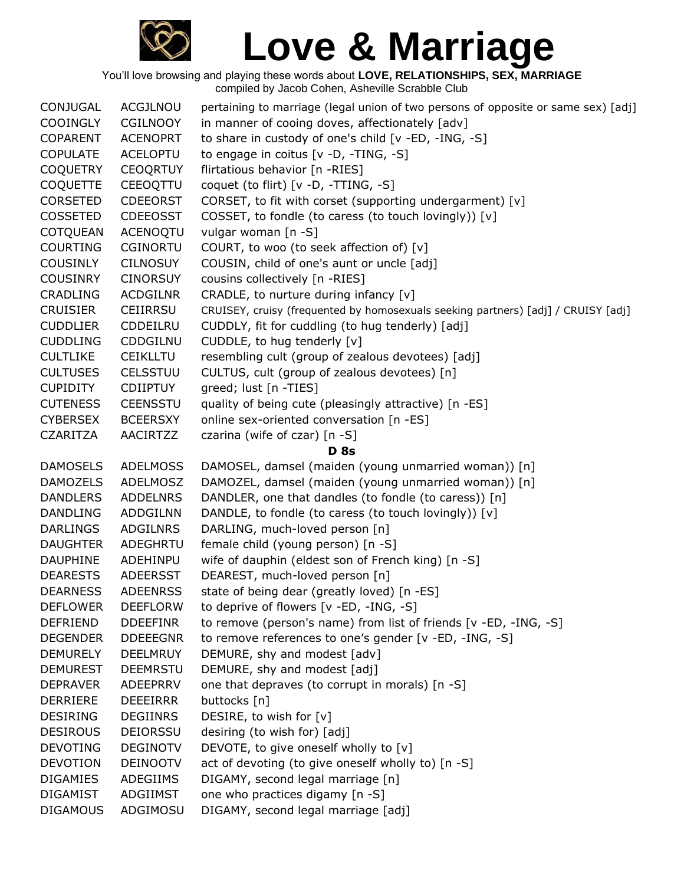

| CONJUGAL        | ACGJLNOU        | pertaining to marriage (legal union of two persons of opposite or same sex) [adj] |
|-----------------|-----------------|-----------------------------------------------------------------------------------|
| <b>COOINGLY</b> | <b>CGILNOOY</b> | in manner of cooing doves, affectionately [adv]                                   |
| <b>COPARENT</b> | <b>ACENOPRT</b> | to share in custody of one's child [v -ED, -ING, -S]                              |
| <b>COPULATE</b> | <b>ACELOPTU</b> | to engage in coitus [v -D, -TING, -S]                                             |
| <b>COQUETRY</b> | <b>CEOQRTUY</b> | flirtatious behavior [n -RIES]                                                    |
| <b>COQUETTE</b> | CEEOQTTU        | coquet (to flirt) [v -D, -TTING, -S]                                              |
| <b>CORSETED</b> | <b>CDEEORST</b> | CORSET, to fit with corset (supporting undergarment) [v]                          |
| <b>COSSETED</b> | <b>CDEEOSST</b> | COSSET, to fondle (to caress (to touch lovingly)) [v]                             |
| <b>COTQUEAN</b> | <b>ACENOQTU</b> | vulgar woman [n -S]                                                               |
| <b>COURTING</b> | <b>CGINORTU</b> | COURT, to woo (to seek affection of) [v]                                          |
| <b>COUSINLY</b> | <b>CILNOSUY</b> | COUSIN, child of one's aunt or uncle [adj]                                        |
| <b>COUSINRY</b> | <b>CINORSUY</b> | cousins collectively [n -RIES]                                                    |
| <b>CRADLING</b> | <b>ACDGILNR</b> | CRADLE, to nurture during infancy [v]                                             |
| <b>CRUISIER</b> | CEIIRRSU        | CRUISEY, cruisy (frequented by homosexuals seeking partners) [adj] / CRUISY [adj] |
| <b>CUDDLIER</b> | CDDEILRU        | CUDDLY, fit for cuddling (to hug tenderly) [adj]                                  |
| <b>CUDDLING</b> | CDDGILNU        | CUDDLE, to hug tenderly [v]                                                       |
| <b>CULTLIKE</b> | <b>CEIKLLTU</b> | resembling cult (group of zealous devotees) [adj]                                 |
| <b>CULTUSES</b> | CELSSTUU        | CULTUS, cult (group of zealous devotees) [n]                                      |
| <b>CUPIDITY</b> | <b>CDIIPTUY</b> | greed; lust [n -TIES]                                                             |
| <b>CUTENESS</b> | <b>CEENSSTU</b> | quality of being cute (pleasingly attractive) [n -ES]                             |
| <b>CYBERSEX</b> | <b>BCEERSXY</b> | online sex-oriented conversation [n -ES]                                          |
| <b>CZARITZA</b> | <b>AACIRTZZ</b> | czarina (wife of czar) [n -S]                                                     |
|                 |                 | <b>D</b> 8s                                                                       |
| <b>DAMOSELS</b> | <b>ADELMOSS</b> | DAMOSEL, damsel (maiden (young unmarried woman)) [n]                              |
| <b>DAMOZELS</b> | ADELMOSZ        | DAMOZEL, damsel (maiden (young unmarried woman)) [n]                              |
| <b>DANDLERS</b> | <b>ADDELNRS</b> | DANDLER, one that dandles (to fondle (to caress)) [n]                             |
| <b>DANDLING</b> | ADDGILNN        | DANDLE, to fondle (to caress (to touch lovingly)) [v]                             |
| <b>DARLINGS</b> | ADGILNRS        | DARLING, much-loved person [n]                                                    |
| <b>DAUGHTER</b> | ADEGHRTU        | female child (young person) [n -S]                                                |
| <b>DAUPHINE</b> | ADEHINPU        | wife of dauphin (eldest son of French king) [n -S]                                |
| <b>DEARESTS</b> | <b>ADEERSST</b> | DEAREST, much-loved person [n]                                                    |
| <b>DEARNESS</b> | <b>ADEENRSS</b> | state of being dear (greatly loved) [n -ES]                                       |
| <b>DEFLOWER</b> | <b>DEEFLORW</b> | to deprive of flowers [v -ED, -ING, -S]                                           |
| <b>DEFRIEND</b> | <b>DDEEFINR</b> | to remove (person's name) from list of friends [v -ED, -ING, -S]                  |
| <b>DEGENDER</b> | <b>DDEEEGNR</b> | to remove references to one's gender [v -ED, -ING, -S]                            |
| <b>DEMURELY</b> | <b>DEELMRUY</b> | DEMURE, shy and modest [adv]                                                      |
| <b>DEMUREST</b> | <b>DEEMRSTU</b> | DEMURE, shy and modest [adj]                                                      |
| <b>DEPRAVER</b> | ADEEPRRV        | one that depraves (to corrupt in morals) [n -S]                                   |
| <b>DERRIERE</b> | <b>DEEEIRRR</b> | buttocks [n]                                                                      |
| <b>DESIRING</b> | <b>DEGIINRS</b> | DESIRE, to wish for [v]                                                           |
| <b>DESIROUS</b> | <b>DEIORSSU</b> | desiring (to wish for) [adj]                                                      |
| <b>DEVOTING</b> | <b>DEGINOTV</b> | DEVOTE, to give oneself wholly to [v]                                             |
| <b>DEVOTION</b> | <b>DEINOOTV</b> | act of devoting (to give oneself wholly to) [n -S]                                |
| <b>DIGAMIES</b> | ADEGIIMS        | DIGAMY, second legal marriage [n]                                                 |
| <b>DIGAMIST</b> | ADGIIMST        | one who practices digamy [n -S]                                                   |
| <b>DIGAMOUS</b> | ADGIMOSU        | DIGAMY, second legal marriage [adj]                                               |
|                 |                 |                                                                                   |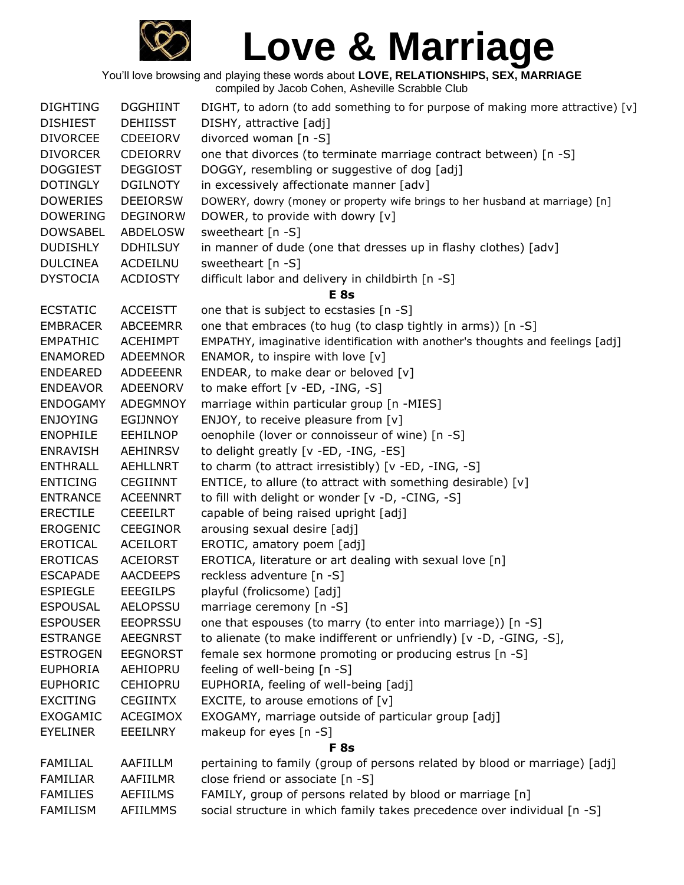

| <b>DIGHTING</b> | <b>DGGHIINT</b> | DIGHT, to adorn (to add something to for purpose of making more attractive) [v] |
|-----------------|-----------------|---------------------------------------------------------------------------------|
| <b>DISHIEST</b> | <b>DEHIISST</b> | DISHY, attractive [adj]                                                         |
| <b>DIVORCEE</b> | <b>CDEEIORV</b> | divorced woman [n -S]                                                           |
| <b>DIVORCER</b> | <b>CDEIORRV</b> | one that divorces (to terminate marriage contract between) [n -S]               |
| <b>DOGGIEST</b> | <b>DEGGIOST</b> | DOGGY, resembling or suggestive of dog [adj]                                    |
| <b>DOTINGLY</b> | <b>DGILNOTY</b> | in excessively affectionate manner [adv]                                        |
| <b>DOWERIES</b> | <b>DEEIORSW</b> | DOWERY, dowry (money or property wife brings to her husband at marriage) [n]    |
| <b>DOWERING</b> | <b>DEGINORW</b> | DOWER, to provide with dowry [v]                                                |
| <b>DOWSABEL</b> | <b>ABDELOSW</b> | sweetheart [n -S]                                                               |
| <b>DUDISHLY</b> | <b>DDHILSUY</b> | in manner of dude (one that dresses up in flashy clothes) [adv]                 |
| <b>DULCINEA</b> | ACDEILNU        | sweetheart $[n -S]$                                                             |
| <b>DYSTOCIA</b> | <b>ACDIOSTY</b> | difficult labor and delivery in childbirth [n -S]                               |
|                 |                 | E <sub>8s</sub>                                                                 |
| <b>ECSTATIC</b> | <b>ACCEISTT</b> | one that is subject to ecstasies [n -S]                                         |
| <b>EMBRACER</b> | <b>ABCEEMRR</b> | one that embraces (to hug (to clasp tightly in arms)) [n -S]                    |
| <b>EMPATHIC</b> | <b>ACEHIMPT</b> | EMPATHY, imaginative identification with another's thoughts and feelings [adj]  |
| <b>ENAMORED</b> | <b>ADEEMNOR</b> | ENAMOR, to inspire with love $[v]$                                              |
| <b>ENDEARED</b> | ADDEEENR        | ENDEAR, to make dear or beloved [v]                                             |
| <b>ENDEAVOR</b> | ADEENORV        | to make effort [v -ED, -ING, -S]                                                |
| <b>ENDOGAMY</b> | <b>ADEGMNOY</b> | marriage within particular group [n -MIES]                                      |
| <b>ENJOYING</b> | EGIJNNOY        | ENJOY, to receive pleasure from [v]                                             |
| <b>ENOPHILE</b> | <b>EEHILNOP</b> | oenophile (lover or connoisseur of wine) [n -S]                                 |
| <b>ENRAVISH</b> | <b>AEHINRSV</b> | to delight greatly [v -ED, -ING, -ES]                                           |
| <b>ENTHRALL</b> | <b>AEHLLNRT</b> | to charm (to attract irresistibly) [v -ED, -ING, -S]                            |
| <b>ENTICING</b> | <b>CEGIINNT</b> | ENTICE, to allure (to attract with something desirable) [v]                     |
| <b>ENTRANCE</b> | <b>ACEENNRT</b> | to fill with delight or wonder [v -D, -CING, -S]                                |
| <b>ERECTILE</b> | <b>CEEEILRT</b> | capable of being raised upright [adj]                                           |
| <b>EROGENIC</b> | <b>CEEGINOR</b> | arousing sexual desire [adj]                                                    |
| <b>EROTICAL</b> | <b>ACEILORT</b> | EROTIC, amatory poem [adj]                                                      |
| <b>EROTICAS</b> | <b>ACEIORST</b> | EROTICA, literature or art dealing with sexual love [n]                         |
| <b>ESCAPADE</b> | <b>AACDEEPS</b> | reckless adventure [n -S]                                                       |
| <b>ESPIEGLE</b> | <b>EEEGILPS</b> | playful (frolicsome) [adj]                                                      |
| <b>ESPOUSAL</b> | <b>AELOPSSU</b> | marriage ceremony [n -S]                                                        |
| <b>ESPOUSER</b> | <b>EEOPRSSU</b> | one that espouses (to marry (to enter into marriage)) [n -S]                    |
| <b>ESTRANGE</b> | <b>AEEGNRST</b> | to alienate (to make indifferent or unfriendly) [v -D, -GING, -S],              |
| <b>ESTROGEN</b> | <b>EEGNORST</b> | female sex hormone promoting or producing estrus [n -S]                         |
| <b>EUPHORIA</b> | AEHIOPRU        | feeling of well-being [n -S]                                                    |
| <b>EUPHORIC</b> | <b>CEHIOPRU</b> | EUPHORIA, feeling of well-being [adj]                                           |
| <b>EXCITING</b> | <b>CEGIINTX</b> | EXCITE, to arouse emotions of $[v]$                                             |
| <b>EXOGAMIC</b> | ACEGIMOX        | EXOGAMY, marriage outside of particular group [adj]                             |
| <b>EYELINER</b> | EEEILNRY        | makeup for eyes [n -S]                                                          |
|                 |                 | F <sub>8s</sub>                                                                 |
| FAMILIAL        | AAFIILLM        | pertaining to family (group of persons related by blood or marriage) [adj]      |
| <b>FAMILIAR</b> | AAFIILMR        | close friend or associate [n -S]                                                |
| <b>FAMILIES</b> | <b>AEFIILMS</b> | FAMILY, group of persons related by blood or marriage [n]                       |
| FAMILISM        | AFIILMMS        | social structure in which family takes precedence over individual [n -S]        |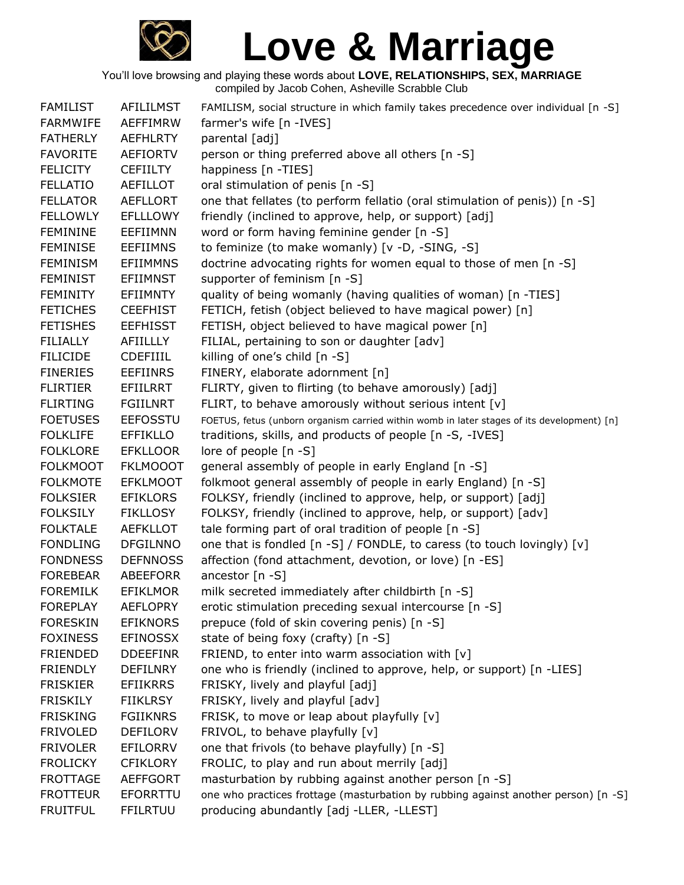

| <b>FAMILIST</b> | <b>AFILILMST</b> | FAMILISM, social structure in which family takes precedence over individual [n -S]         |
|-----------------|------------------|--------------------------------------------------------------------------------------------|
| <b>FARMWIFE</b> | AEFFIMRW         | farmer's wife [n -IVES]                                                                    |
| <b>FATHERLY</b> | <b>AEFHLRTY</b>  | parental [adj]                                                                             |
| <b>FAVORITE</b> | <b>AEFIORTV</b>  | person or thing preferred above all others [n -S]                                          |
| <b>FELICITY</b> | <b>CEFIILTY</b>  | happiness [n -TIES]                                                                        |
| <b>FELLATIO</b> | AEFILLOT         | oral stimulation of penis [n -S]                                                           |
| <b>FELLATOR</b> | <b>AEFLLORT</b>  | one that fellates (to perform fellatio (oral stimulation of penis)) [n -S]                 |
| <b>FELLOWLY</b> | <b>EFLLLOWY</b>  | friendly (inclined to approve, help, or support) [adj]                                     |
| <b>FEMININE</b> | EEFIIMNN         | word or form having feminine gender [n -S]                                                 |
| <b>FEMINISE</b> | <b>EEFIIMNS</b>  | to feminize (to make womanly) [v -D, -SING, -S]                                            |
| <b>FEMINISM</b> | <b>EFIIMMNS</b>  | doctrine advocating rights for women equal to those of men [n -S]                          |
| <b>FEMINIST</b> | <b>EFIIMNST</b>  | supporter of feminism [n -S]                                                               |
| <b>FEMINITY</b> | <b>EFIIMNTY</b>  | quality of being womanly (having qualities of woman) [n -TIES]                             |
| <b>FETICHES</b> | <b>CEEFHIST</b>  | FETICH, fetish (object believed to have magical power) [n]                                 |
| <b>FETISHES</b> | <b>EEFHISST</b>  | FETISH, object believed to have magical power [n]                                          |
| <b>FILIALLY</b> | AFIILLLY         | FILIAL, pertaining to son or daughter [adv]                                                |
| <b>FILICIDE</b> | <b>CDEFIIIL</b>  | killing of one's child [n -S]                                                              |
| <b>FINERIES</b> | <b>EEFIINRS</b>  | FINERY, elaborate adornment [n]                                                            |
| <b>FLIRTIER</b> | EFIILRRT         | FLIRTY, given to flirting (to behave amorously) [adj]                                      |
| <b>FLIRTING</b> | <b>FGIILNRT</b>  | FLIRT, to behave amorously without serious intent [v]                                      |
| <b>FOETUSES</b> | <b>EEFOSSTU</b>  | FOETUS, fetus (unborn organism carried within womb in later stages of its development) [n] |
| <b>FOLKLIFE</b> | <b>EFFIKLLO</b>  | traditions, skills, and products of people [n -S, -IVES]                                   |
| <b>FOLKLORE</b> | <b>EFKLLOOR</b>  | lore of people [n -S]                                                                      |
| <b>FOLKMOOT</b> | <b>FKLMOOOT</b>  | general assembly of people in early England [n -S]                                         |
| <b>FOLKMOTE</b> | <b>EFKLMOOT</b>  | folkmoot general assembly of people in early England) [n -S]                               |
| <b>FOLKSIER</b> | <b>EFIKLORS</b>  | FOLKSY, friendly (inclined to approve, help, or support) [adj]                             |
| <b>FOLKSILY</b> | <b>FIKLLOSY</b>  | FOLKSY, friendly (inclined to approve, help, or support) [adv]                             |
| <b>FOLKTALE</b> | <b>AEFKLLOT</b>  | tale forming part of oral tradition of people [n -S]                                       |
| <b>FONDLING</b> | <b>DFGILNNO</b>  | one that is fondled [n -S] / FONDLE, to caress (to touch lovingly) [v]                     |
| <b>FONDNESS</b> | <b>DEFNNOSS</b>  | affection (fond attachment, devotion, or love) [n -ES]                                     |
| <b>FOREBEAR</b> | <b>ABEEFORR</b>  | ancestor [n -S]                                                                            |
| <b>FOREMILK</b> | <b>EFIKLMOR</b>  | milk secreted immediately after childbirth [n -S]                                          |
| <b>FOREPLAY</b> | <b>AEFLOPRY</b>  | erotic stimulation preceding sexual intercourse [n -S]                                     |
| <b>FORESKIN</b> | <b>EFIKNORS</b>  | prepuce (fold of skin covering penis) [n -S]                                               |
| <b>FOXINESS</b> | <b>EFINOSSX</b>  | state of being foxy (crafty) [n -S]                                                        |
| <b>FRIENDED</b> | <b>DDEEFINR</b>  | FRIEND, to enter into warm association with [v]                                            |
| <b>FRIENDLY</b> | <b>DEFILNRY</b>  | one who is friendly (inclined to approve, help, or support) [n -LIES]                      |
| <b>FRISKIER</b> | <b>EFIIKRRS</b>  | FRISKY, lively and playful [adj]                                                           |
| <b>FRISKILY</b> | <b>FIIKLRSY</b>  | FRISKY, lively and playful [adv]                                                           |
| <b>FRISKING</b> | <b>FGIIKNRS</b>  | FRISK, to move or leap about playfully [v]                                                 |
| <b>FRIVOLED</b> | <b>DEFILORV</b>  | FRIVOL, to behave playfully [v]                                                            |
| <b>FRIVOLER</b> | <b>EFILORRV</b>  | one that frivols (to behave playfully) [n -S]                                              |
| <b>FROLICKY</b> | <b>CFIKLORY</b>  | FROLIC, to play and run about merrily [adj]                                                |
| <b>FROTTAGE</b> | <b>AEFFGORT</b>  | masturbation by rubbing against another person [n -S]                                      |
| <b>FROTTEUR</b> | <b>EFORRTTU</b>  | one who practices frottage (masturbation by rubbing against another person) [n -S]         |
| <b>FRUITFUL</b> | <b>FFILRTUU</b>  | producing abundantly [adj -LLER, -LLEST]                                                   |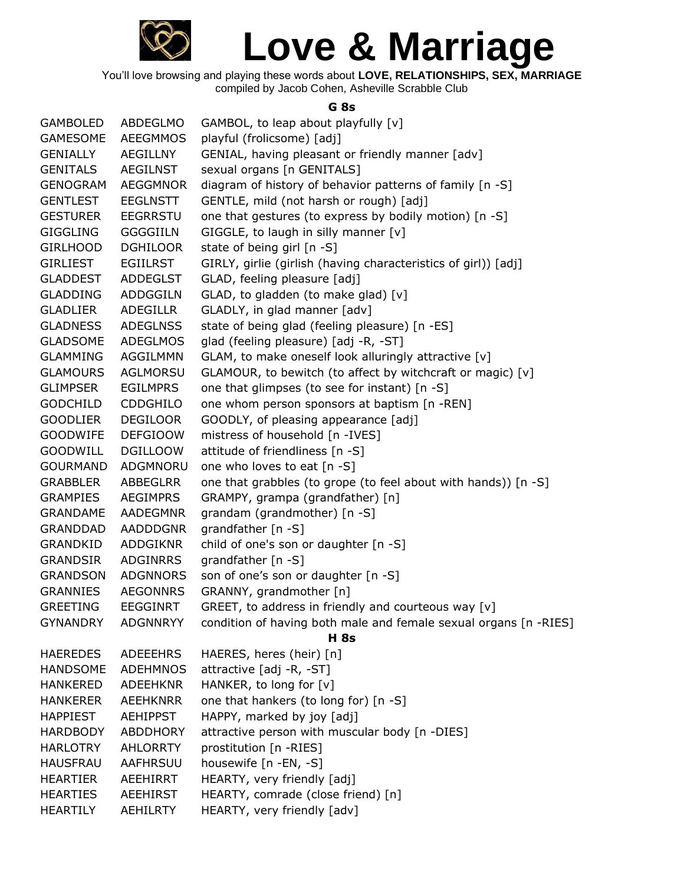

You'll love browsing and playing these words about **LOVE, RELATIONSHIPS, SEX, MARRIAGE** compiled by Jacob Cohen, Asheville Scrabble Club

#### **G 8s**

| <b>GAMBOLED</b> | ABDEGLMO        | GAMBOL, to leap about playfully [v]                              |
|-----------------|-----------------|------------------------------------------------------------------|
| <b>GAMESOME</b> | <b>AEEGMMOS</b> | playful (frolicsome) [adj]                                       |
| <b>GENIALLY</b> | AEGILLNY        | GENIAL, having pleasant or friendly manner [adv]                 |
| <b>GENITALS</b> | <b>AEGILNST</b> | sexual organs [n GENITALS]                                       |
| <b>GENOGRAM</b> | <b>AEGGMNOR</b> | diagram of history of behavior patterns of family [n -S]         |
| <b>GENTLEST</b> | <b>EEGLNSTT</b> | GENTLE, mild (not harsh or rough) [adj]                          |
| <b>GESTURER</b> | <b>EEGRRSTU</b> | one that gestures (to express by bodily motion) [n -S]           |
| <b>GIGGLING</b> | <b>GGGGIILN</b> | GIGGLE, to laugh in silly manner [v]                             |
| <b>GIRLHOOD</b> | <b>DGHILOOR</b> | state of being girl [n -S]                                       |
| <b>GIRLIEST</b> | <b>EGIILRST</b> | GIRLY, girlie (girlish (having characteristics of girl)) [adj]   |
| <b>GLADDEST</b> | <b>ADDEGLST</b> | GLAD, feeling pleasure [adj]                                     |
| <b>GLADDING</b> | ADDGGILN        | GLAD, to gladden (to make glad) [v]                              |
| <b>GLADLIER</b> | ADEGILLR        | GLADLY, in glad manner [adv]                                     |
| <b>GLADNESS</b> | <b>ADEGLNSS</b> | state of being glad (feeling pleasure) [n -ES]                   |
| <b>GLADSOME</b> | ADEGLMOS        | glad (feeling pleasure) [adj -R, -ST]                            |
| <b>GLAMMING</b> | AGGILMMN        | GLAM, to make oneself look alluringly attractive [v]             |
| <b>GLAMOURS</b> | <b>AGLMORSU</b> | GLAMOUR, to bewitch (to affect by witchcraft or magic) [v]       |
| <b>GLIMPSER</b> | <b>EGILMPRS</b> | one that glimpses (to see for instant) [n -S]                    |
| <b>GODCHILD</b> | <b>CDDGHILO</b> | one whom person sponsors at baptism [n -REN]                     |
| <b>GOODLIER</b> | <b>DEGILOOR</b> | GOODLY, of pleasing appearance [adj]                             |
| <b>GOODWIFE</b> | <b>DEFGIOOW</b> | mistress of household [n -IVES]                                  |
| <b>GOODWILL</b> | <b>DGILLOOW</b> | attitude of friendliness [n -S]                                  |
| <b>GOURMAND</b> | ADGMNORU        | one who loves to eat [n -S]                                      |
| <b>GRABBLER</b> | ABBEGLRR        | one that grabbles (to grope (to feel about with hands)) [n -S]   |
| <b>GRAMPIES</b> | <b>AEGIMPRS</b> | GRAMPY, grampa (grandfather) [n]                                 |
| <b>GRANDAME</b> | AADEGMNR        | grandam (grandmother) [n -S]                                     |
| <b>GRANDDAD</b> | <b>AADDDGNR</b> | grandfather [n -S]                                               |
| <b>GRANDKID</b> | ADDGIKNR        | child of one's son or daughter [n -S]                            |
| <b>GRANDSIR</b> | ADGINRRS        | grandfather [n -S]                                               |
| <b>GRANDSON</b> | <b>ADGNNORS</b> | son of one's son or daughter [n -S]                              |
| <b>GRANNIES</b> | <b>AEGONNRS</b> | GRANNY, grandmother [n]                                          |
| <b>GREETING</b> | <b>EEGGINRT</b> | GREET, to address in friendly and courteous way [v]              |
| <b>GYNANDRY</b> | <b>ADGNNRYY</b> | condition of having both male and female sexual organs [n -RIES] |
|                 |                 | <b>H</b> 8s                                                      |
| <b>HAEREDES</b> | <b>ADEEEHRS</b> | HAERES, heres (heir) [n]                                         |
| <b>HANDSOME</b> | <b>ADEHMNOS</b> | attractive [adj -R, -ST]                                         |
| <b>HANKERED</b> | <b>ADEEHKNR</b> | HANKER, to long for [v]                                          |
| <b>HANKERER</b> | <b>AEEHKNRR</b> | one that hankers (to long for) [n -S]                            |
| <b>HAPPIEST</b> | <b>AEHIPPST</b> | HAPPY, marked by joy [adj]                                       |
| <b>HARDBODY</b> | <b>ABDDHORY</b> | attractive person with muscular body [n -DIES]                   |
| <b>HARLOTRY</b> | <b>AHLORRTY</b> | prostitution [n -RIES]                                           |
| <b>HAUSFRAU</b> | AAFHRSUU        | housewife [n -EN, -S]                                            |
| <b>HEARTIER</b> | <b>AEEHIRRT</b> | HEARTY, very friendly [adj]                                      |
| <b>HEARTIES</b> | <b>AEEHIRST</b> | HEARTY, comrade (close friend) [n]                               |
| <b>HEARTILY</b> | <b>AEHILRTY</b> | HEARTY, very friendly [adv]                                      |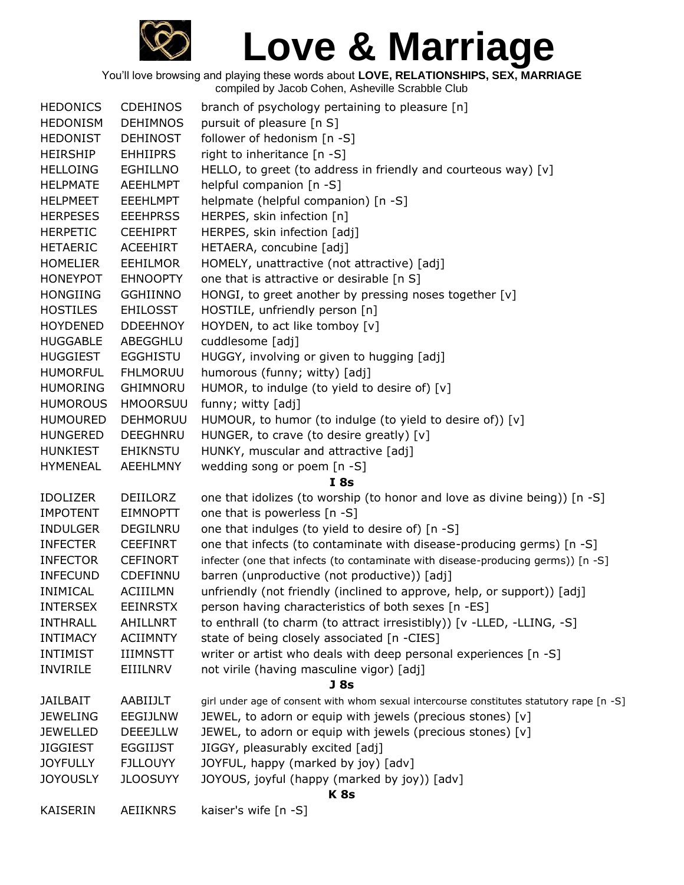

| <b>HEDONICS</b> | <b>CDEHINOS</b> | branch of psychology pertaining to pleasure [n]                                          |
|-----------------|-----------------|------------------------------------------------------------------------------------------|
| <b>HEDONISM</b> | <b>DEHIMNOS</b> | pursuit of pleasure [n S]                                                                |
| <b>HEDONIST</b> | <b>DEHINOST</b> | follower of hedonism [n -S]                                                              |
| <b>HEIRSHIP</b> | <b>EHHIIPRS</b> | right to inheritance [n -S]                                                              |
| <b>HELLOING</b> | <b>EGHILLNO</b> | HELLO, to greet (to address in friendly and courteous way) [v]                           |
| <b>HELPMATE</b> | <b>AEEHLMPT</b> | helpful companion [n -S]                                                                 |
| <b>HELPMEET</b> | <b>EEEHLMPT</b> | helpmate (helpful companion) [n -S]                                                      |
| <b>HERPESES</b> | <b>EEEHPRSS</b> | HERPES, skin infection [n]                                                               |
| <b>HERPETIC</b> | <b>CEEHIPRT</b> | HERPES, skin infection [adj]                                                             |
| <b>HETAERIC</b> | <b>ACEEHIRT</b> | HETAERA, concubine [adj]                                                                 |
| <b>HOMELIER</b> | <b>EEHILMOR</b> | HOMELY, unattractive (not attractive) [adj]                                              |
| <b>HONEYPOT</b> | <b>EHNOOPTY</b> | one that is attractive or desirable [n S]                                                |
| <b>HONGIING</b> | <b>GGHIINNO</b> | HONGI, to greet another by pressing noses together [v]                                   |
| <b>HOSTILES</b> | <b>EHILOSST</b> | HOSTILE, unfriendly person [n]                                                           |
| <b>HOYDENED</b> | <b>DDEEHNOY</b> | HOYDEN, to act like tomboy [v]                                                           |
| <b>HUGGABLE</b> | ABEGGHLU        | cuddlesome [adj]                                                                         |
| <b>HUGGIEST</b> | <b>EGGHISTU</b> | HUGGY, involving or given to hugging [adj]                                               |
| <b>HUMORFUL</b> | <b>FHLMORUU</b> | humorous (funny; witty) [adj]                                                            |
| <b>HUMORING</b> | <b>GHIMNORU</b> | HUMOR, to indulge (to yield to desire of) [v]                                            |
| <b>HUMOROUS</b> | <b>HMOORSUU</b> | funny; witty [adj]                                                                       |
| <b>HUMOURED</b> | DEHMORUU        | HUMOUR, to humor (to indulge (to yield to desire of)) [v]                                |
| <b>HUNGERED</b> | <b>DEEGHNRU</b> | HUNGER, to crave (to desire greatly) [v]                                                 |
| <b>HUNKIEST</b> | EHIKNSTU        | HUNKY, muscular and attractive [adj]                                                     |
| <b>HYMENEAL</b> | <b>AEEHLMNY</b> | wedding song or poem [n -S]                                                              |
|                 |                 | I8s                                                                                      |
| <b>IDOLIZER</b> | <b>DEIILORZ</b> | one that idolizes (to worship (to honor and love as divine being)) [n -S]                |
| <b>IMPOTENT</b> | <b>EIMNOPTT</b> | one that is powerless [n -S]                                                             |
| <b>INDULGER</b> | DEGILNRU        | one that indulges (to yield to desire of) [n -S]                                         |
| <b>INFECTER</b> | <b>CEEFINRT</b> | one that infects (to contaminate with disease-producing germs) [n -S]                    |
| <b>INFECTOR</b> | <b>CEFINORT</b> | infecter (one that infects (to contaminate with disease-producing germs)) [n -S]         |
| <b>INFECUND</b> | CDEFINNU        | barren (unproductive (not productive)) [adj]                                             |
| <b>INIMICAL</b> | <b>ACIIILMN</b> | unfriendly (not friendly (inclined to approve, help, or support)) [adj]                  |
| <b>INTERSEX</b> | <b>EEINRSTX</b> | person having characteristics of both sexes [n -ES]                                      |
| <b>INTHRALL</b> | <b>AHILLNRT</b> | to enthrall (to charm (to attract irresistibly)) [v -LLED, -LLING, -S]                   |
| <b>INTIMACY</b> | <b>ACIIMNTY</b> | state of being closely associated [n -CIES]                                              |
| <b>INTIMIST</b> | <b>IIIMNSTT</b> | writer or artist who deals with deep personal experiences [n -S]                         |
| <b>INVIRILE</b> | EIIILNRV        | not virile (having masculine vigor) [adj]                                                |
|                 |                 | J <sub>8s</sub>                                                                          |
| <b>JAILBAIT</b> | AABIIJLT        | girl under age of consent with whom sexual intercourse constitutes statutory rape [n -S] |
| <b>JEWELING</b> | EEGIJLNW        | JEWEL, to adorn or equip with jewels (precious stones) [v]                               |
| <b>JEWELLED</b> | DEEEJLLW        | JEWEL, to adorn or equip with jewels (precious stones) [v]                               |
| <b>JIGGIEST</b> | EGGIIJST        | JIGGY, pleasurably excited [adj]                                                         |
| <b>JOYFULLY</b> | <b>FJLLOUYY</b> | JOYFUL, happy (marked by joy) [adv]                                                      |
| <b>JOYOUSLY</b> | <b>JLOOSUYY</b> | JOYOUS, joyful (happy (marked by joy)) [adv]                                             |
|                 |                 | <b>K8s</b>                                                                               |
| <b>KAISERIN</b> | <b>AEIIKNRS</b> | kaiser's wife [n -S]                                                                     |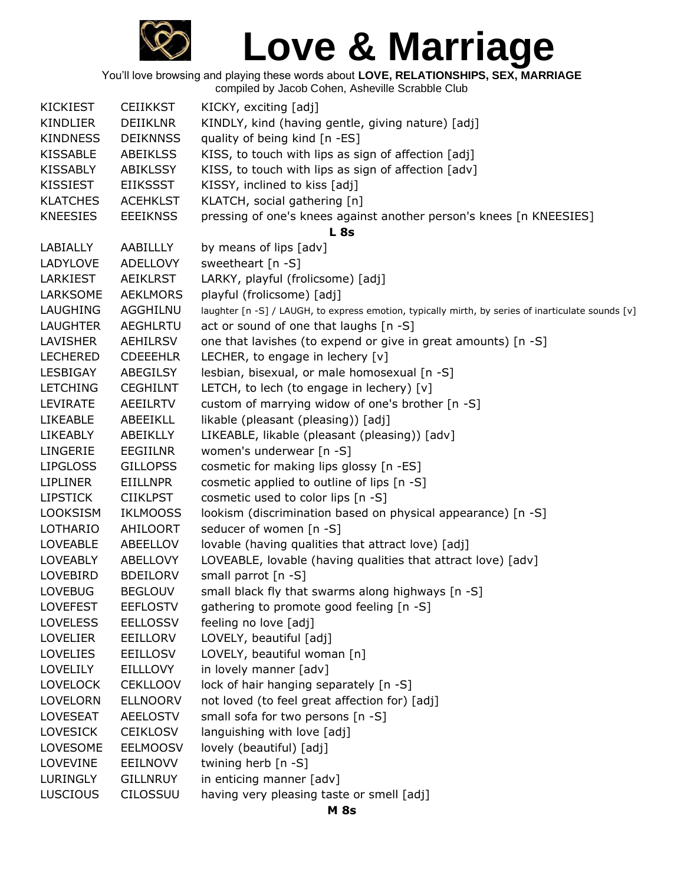

| <b>KICKIEST</b> | <b>CEIIKKST</b> | KICKY, exciting [adj]                                                                              |
|-----------------|-----------------|----------------------------------------------------------------------------------------------------|
| <b>KINDLIER</b> | <b>DEIIKLNR</b> | KINDLY, kind (having gentle, giving nature) [adj]                                                  |
| <b>KINDNESS</b> | <b>DEIKNNSS</b> | quality of being kind [n -ES]                                                                      |
| <b>KISSABLE</b> | <b>ABEIKLSS</b> | KISS, to touch with lips as sign of affection [adj]                                                |
| <b>KISSABLY</b> | <b>ABIKLSSY</b> | KISS, to touch with lips as sign of affection [adv]                                                |
| KISSIEST        | <b>EIIKSSST</b> | KISSY, inclined to kiss [adj]                                                                      |
| <b>KLATCHES</b> | <b>ACEHKLST</b> | KLATCH, social gathering [n]                                                                       |
| <b>KNEESIES</b> | <b>EEEIKNSS</b> | pressing of one's knees against another person's knees [n KNEESIES]                                |
|                 |                 | <b>L</b> 8s                                                                                        |
| LABIALLY        | AABILLLY        | by means of lips [adv]                                                                             |
| LADYLOVE        | <b>ADELLOVY</b> | sweetheart [n -S]                                                                                  |
| LARKIEST        | <b>AEIKLRST</b> | LARKY, playful (frolicsome) [adj]                                                                  |
| LARKSOME        | <b>AEKLMORS</b> | playful (frolicsome) [adj]                                                                         |
| LAUGHING        | AGGHILNU        | laughter [n -S] / LAUGH, to express emotion, typically mirth, by series of inarticulate sounds [v] |
| <b>LAUGHTER</b> | <b>AEGHLRTU</b> | act or sound of one that laughs [n -S]                                                             |
| LAVISHER        | AEHILRSV        | one that lavishes (to expend or give in great amounts) [n -S]                                      |
| <b>LECHERED</b> | <b>CDEEEHLR</b> | LECHER, to engage in lechery [v]                                                                   |
| LESBIGAY        | ABEGILSY        | lesbian, bisexual, or male homosexual [n -S]                                                       |
| <b>LETCHING</b> | <b>CEGHILNT</b> | LETCH, to lech (to engage in lechery) [v]                                                          |
| LEVIRATE        | <b>AEEILRTV</b> | custom of marrying widow of one's brother [n -S]                                                   |
| <b>LIKEABLE</b> | ABEEIKLL        | likable (pleasant (pleasing)) [adj]                                                                |
| <b>LIKEABLY</b> | ABEIKLLY        | LIKEABLE, likable (pleasant (pleasing)) [adv]                                                      |
| LINGERIE        | <b>EEGIILNR</b> | women's underwear [n -S]                                                                           |
| <b>LIPGLOSS</b> | <b>GILLOPSS</b> | cosmetic for making lips glossy [n -ES]                                                            |
| <b>LIPLINER</b> | EIILLNPR        | cosmetic applied to outline of lips [n -S]                                                         |
| <b>LIPSTICK</b> | <b>CIIKLPST</b> | cosmetic used to color lips [n -S]                                                                 |
| <b>LOOKSISM</b> | <b>IKLMOOSS</b> | lookism (discrimination based on physical appearance) [n -S]                                       |
| LOTHARIO        | AHILOORT        | seducer of women [n -S]                                                                            |
| <b>LOVEABLE</b> | ABEELLOV        | lovable (having qualities that attract love) [adj]                                                 |
| <b>LOVEABLY</b> | ABELLOVY        | LOVEABLE, lovable (having qualities that attract love) [adv]                                       |
| <b>LOVEBIRD</b> | <b>BDEILORV</b> | small parrot $[n - S]$                                                                             |
| <b>LOVEBUG</b>  | <b>BEGLOUV</b>  | small black fly that swarms along highways [n -S]                                                  |
| <b>LOVEFEST</b> | <b>EEFLOSTV</b> | gathering to promote good feeling [n -S]                                                           |
| <b>LOVELESS</b> | <b>EELLOSSV</b> | feeling no love [adj]                                                                              |
| <b>LOVELIER</b> | EEILLORV        | LOVELY, beautiful [adj]                                                                            |
| <b>LOVELIES</b> | <b>EEILLOSV</b> | LOVELY, beautiful woman [n]                                                                        |
| <b>LOVELILY</b> | <b>EILLLOVY</b> | in lovely manner [adv]                                                                             |
| <b>LOVELOCK</b> | <b>CEKLLOOV</b> | lock of hair hanging separately [n -S]                                                             |
| LOVELORN        | <b>ELLNOORV</b> | not loved (to feel great affection for) [adj]                                                      |
| LOVESEAT        | <b>AEELOSTV</b> | small sofa for two persons [n -S]                                                                  |
| <b>LOVESICK</b> | <b>CEIKLOSV</b> | languishing with love [adj]                                                                        |
| LOVESOME        | <b>EELMOOSV</b> | lovely (beautiful) [adj]                                                                           |
| LOVEVINE        | <b>EEILNOVV</b> | twining herb [n -S]                                                                                |
| LURINGLY        | <b>GILLNRUY</b> | in enticing manner [adv]                                                                           |
| <b>LUSCIOUS</b> | <b>CILOSSUU</b> | having very pleasing taste or smell [adj]                                                          |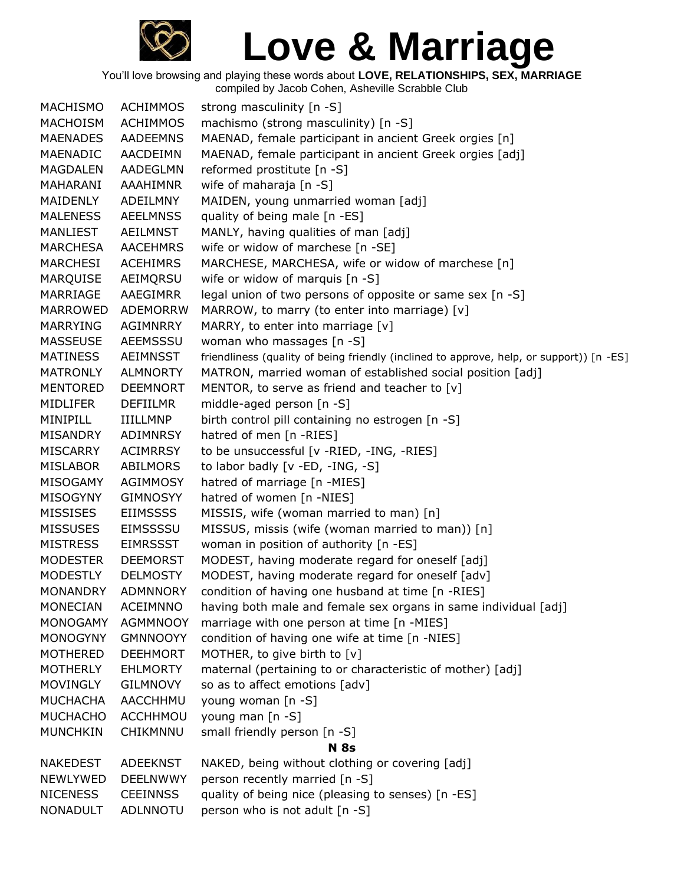

You'll love browsing and playing these words about **LOVE, RELATIONSHIPS, SEX, MARRIAGE**

compiled by Jacob Cohen, Asheville Scrabble Club

| MACHISMO        | <b>ACHIMMOS</b> | strong masculinity [n -S]                                                                |
|-----------------|-----------------|------------------------------------------------------------------------------------------|
| <b>MACHOISM</b> | <b>ACHIMMOS</b> | machismo (strong masculinity) [n -S]                                                     |
| <b>MAENADES</b> | <b>AADEEMNS</b> | MAENAD, female participant in ancient Greek orgies [n]                                   |
| MAENADIC        | AACDEIMN        | MAENAD, female participant in ancient Greek orgies [adj]                                 |
| <b>MAGDALEN</b> | AADEGLMN        | reformed prostitute [n -S]                                                               |
| MAHARANI        | AAAHIMNR        | wife of maharaja [n -S]                                                                  |
| MAIDENLY        | ADEILMNY        | MAIDEN, young unmarried woman [adj]                                                      |
| <b>MALENESS</b> | <b>AEELMNSS</b> | quality of being male [n -ES]                                                            |
| MANLIEST        | AEILMNST        | MANLY, having qualities of man [adj]                                                     |
| <b>MARCHESA</b> | <b>AACEHMRS</b> | wife or widow of marchese [n -SE]                                                        |
| MARCHESI        | <b>ACEHIMRS</b> | MARCHESE, MARCHESA, wife or widow of marchese [n]                                        |
| MARQUISE        | AEIMQRSU        | wife or widow of marquis [n -S]                                                          |
| MARRIAGE        | AAEGIMRR        | legal union of two persons of opposite or same sex [n -S]                                |
| MARROWED        | ADEMORRW        | MARROW, to marry (to enter into marriage) [v]                                            |
| <b>MARRYING</b> | AGIMNRRY        | MARRY, to enter into marriage [v]                                                        |
| <b>MASSEUSE</b> | AEEMSSSU        | woman who massages [n -S]                                                                |
| <b>MATINESS</b> | AEIMNSST        | friendliness (quality of being friendly (inclined to approve, help, or support)) [n -ES] |
| <b>MATRONLY</b> | <b>ALMNORTY</b> | MATRON, married woman of established social position [adj]                               |
| <b>MENTORED</b> | <b>DEEMNORT</b> | MENTOR, to serve as friend and teacher to $[v]$                                          |
| <b>MIDLIFER</b> | <b>DEFIILMR</b> | middle-aged person [n -S]                                                                |
| MINIPILL        | IIILLMNP        | birth control pill containing no estrogen [n -S]                                         |
| MISANDRY        | ADIMNRSY        | hatred of men [n -RIES]                                                                  |
| <b>MISCARRY</b> | <b>ACIMRRSY</b> | to be unsuccessful [v -RIED, -ING, -RIES]                                                |
| <b>MISLABOR</b> | ABILMORS        | to labor badly [v -ED, -ING, -S]                                                         |
| MISOGAMY        | <b>AGIMMOSY</b> | hatred of marriage [n -MIES]                                                             |
| <b>MISOGYNY</b> | <b>GIMNOSYY</b> | hatred of women [n -NIES]                                                                |
| <b>MISSISES</b> | <b>EIIMSSSS</b> | MISSIS, wife (woman married to man) [n]                                                  |
| <b>MISSUSES</b> | EIMSSSSU        | MISSUS, missis (wife (woman married to man)) [n]                                         |
| <b>MISTRESS</b> | <b>EIMRSSST</b> | woman in position of authority [n -ES]                                                   |
| <b>MODESTER</b> | <b>DEEMORST</b> | MODEST, having moderate regard for oneself [adj]                                         |
| <b>MODESTLY</b> | <b>DELMOSTY</b> | MODEST, having moderate regard for oneself [adv]                                         |
| <b>MONANDRY</b> | <b>ADMNNORY</b> | condition of having one husband at time [n -RIES]                                        |
| MONECIAN        | <b>ACEIMNNO</b> | having both male and female sex organs in same individual [adj]                          |
| <b>MONOGAMY</b> | <b>AGMMNOOY</b> | marriage with one person at time [n -MIES]                                               |
| <b>MONOGYNY</b> | <b>GMNNOOYY</b> | condition of having one wife at time [n -NIES]                                           |
| <b>MOTHERED</b> | <b>DEEHMORT</b> | MOTHER, to give birth to [v]                                                             |
| <b>MOTHERLY</b> | <b>EHLMORTY</b> | maternal (pertaining to or characteristic of mother) [adj]                               |
| <b>MOVINGLY</b> | <b>GILMNOVY</b> | so as to affect emotions [adv]                                                           |
| <b>MUCHACHA</b> | <b>AACCHHMU</b> | young woman [n -S]                                                                       |
| <b>MUCHACHO</b> | <b>ACCHHMOU</b> | young man [n -S]                                                                         |
| <b>MUNCHKIN</b> | CHIKMNNU        | small friendly person [n -S]                                                             |
|                 |                 | N 8s                                                                                     |
| <b>NAKEDEST</b> | ADEEKNST        | NAKED, being without clothing or covering [adj]                                          |
| NEWLYWED        | <b>DEELNWWY</b> | person recently married [n -S]                                                           |
| <b>NICENESS</b> | <b>CEEINNSS</b> | quality of being nice (pleasing to senses) [n -ES]                                       |
| <b>NONADULT</b> | ADLNNOTU        | person who is not adult [n -S]                                                           |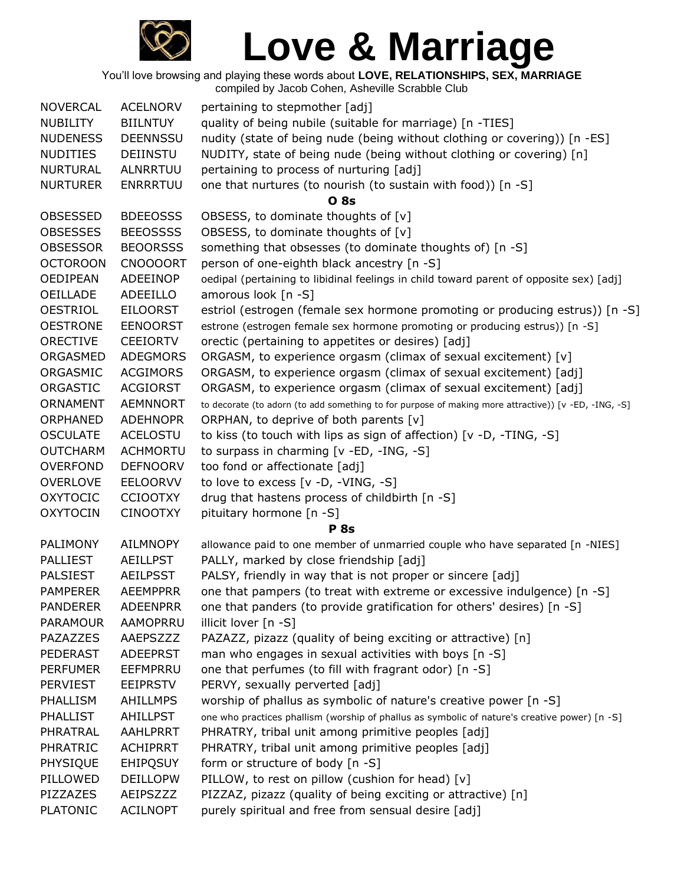

| <b>NOVERCAL</b> | <b>ACELNORV</b> | pertaining to stepmother [adj]                                                                       |
|-----------------|-----------------|------------------------------------------------------------------------------------------------------|
| <b>NUBILITY</b> | <b>BIILNTUY</b> | quality of being nubile (suitable for marriage) [n -TIES]                                            |
| <b>NUDENESS</b> | <b>DEENNSSU</b> | nudity (state of being nude (being without clothing or covering)) [n -ES]                            |
| <b>NUDITIES</b> | DEIINSTU        | NUDITY, state of being nude (being without clothing or covering) [n]                                 |
| <b>NURTURAL</b> | ALNRRTUU        | pertaining to process of nurturing [adj]                                                             |
| <b>NURTURER</b> | <b>ENRRRTUU</b> | one that nurtures (to nourish (to sustain with food)) [n -S]                                         |
|                 |                 | <b>O</b> 8s                                                                                          |
| <b>OBSESSED</b> | <b>BDEEOSSS</b> | OBSESS, to dominate thoughts of [v]                                                                  |
| <b>OBSESSES</b> | <b>BEEOSSSS</b> | OBSESS, to dominate thoughts of [v]                                                                  |
| <b>OBSESSOR</b> | <b>BEOORSSS</b> | something that obsesses (to dominate thoughts of) [n -S]                                             |
| <b>OCTOROON</b> | <b>CNOOOORT</b> | person of one-eighth black ancestry [n -S]                                                           |
| <b>OEDIPEAN</b> | ADEEINOP        | oedipal (pertaining to libidinal feelings in child toward parent of opposite sex) [adj]              |
| <b>OEILLADE</b> | ADEEILLO        | amorous look [n -S]                                                                                  |
| <b>OESTRIOL</b> | <b>EILOORST</b> | estriol (estrogen (female sex hormone promoting or producing estrus)) [n -S]                         |
| <b>OESTRONE</b> | <b>EENOORST</b> | estrone (estrogen female sex hormone promoting or producing estrus)) [n -S]                          |
| <b>ORECTIVE</b> | <b>CEEIORTV</b> | orectic (pertaining to appetites or desires) [adj]                                                   |
| ORGASMED        | <b>ADEGMORS</b> | ORGASM, to experience orgasm (climax of sexual excitement) [v]                                       |
| ORGASMIC        | <b>ACGIMORS</b> | ORGASM, to experience orgasm (climax of sexual excitement) [adj]                                     |
| ORGASTIC        | <b>ACGIORST</b> | ORGASM, to experience orgasm (climax of sexual excitement) [adj]                                     |
| ORNAMENT        | <b>AEMNNORT</b> | to decorate (to adorn (to add something to for purpose of making more attractive)) [v -ED, -ING, -S] |
| ORPHANED        | <b>ADEHNOPR</b> | ORPHAN, to deprive of both parents [v]                                                               |
| <b>OSCULATE</b> | <b>ACELOSTU</b> | to kiss (to touch with lips as sign of affection) $[v -D, -TING, -S]$                                |
| <b>OUTCHARM</b> | <b>ACHMORTU</b> | to surpass in charming [v -ED, -ING, -S]                                                             |
| <b>OVERFOND</b> | <b>DEFNOORV</b> | too fond or affectionate [adj]                                                                       |
| <b>OVERLOVE</b> | <b>EELOORVV</b> | to love to excess [v -D, -VING, -S]                                                                  |
| <b>OXYTOCIC</b> | <b>CCIOOTXY</b> | drug that hastens process of childbirth [n -S]                                                       |
| <b>OXYTOCIN</b> | <b>CINOOTXY</b> | pituitary hormone [n -S]                                                                             |
|                 |                 | <b>P</b> 8s                                                                                          |
| PALIMONY        | <b>AILMNOPY</b> | allowance paid to one member of unmarried couple who have separated [n -NIES]                        |
| <b>PALLIEST</b> | <b>AEILLPST</b> | PALLY, marked by close friendship [adj]                                                              |
| <b>PALSIEST</b> | <b>AEILPSST</b> | PALSY, friendly in way that is not proper or sincere [adj]                                           |
| <b>PAMPERER</b> | <b>AEEMPPRR</b> | one that pampers (to treat with extreme or excessive indulgence) [n -S]                              |
| <b>PANDERER</b> | <b>ADEENPRR</b> | one that panders (to provide gratification for others' desires) [n -S]                               |
| <b>PARAMOUR</b> | AAMOPRRU        | illicit lover [n -S]                                                                                 |
| PAZAZZES        | AAEPSZZZ        | PAZAZZ, pizazz (quality of being exciting or attractive) [n]                                         |
| PEDERAST        | <b>ADEEPRST</b> | man who engages in sexual activities with boys [n -S]                                                |
| <b>PERFUMER</b> | EEFMPRRU        | one that perfumes (to fill with fragrant odor) [n -S]                                                |
| <b>PERVIEST</b> | <b>EEIPRSTV</b> | PERVY, sexually perverted [adj]                                                                      |
| PHALLISM        | <b>AHILLMPS</b> | worship of phallus as symbolic of nature's creative power [n -S]                                     |
| <b>PHALLIST</b> | AHILLPST        | one who practices phallism (worship of phallus as symbolic of nature's creative power) [n -S]        |
| PHRATRAL        | <b>AAHLPRRT</b> | PHRATRY, tribal unit among primitive peoples [adj]                                                   |
| <b>PHRATRIC</b> | <b>ACHIPRRT</b> | PHRATRY, tribal unit among primitive peoples [adj]                                                   |
| PHYSIQUE        | <b>EHIPQSUY</b> | form or structure of body [n -S]                                                                     |
| PILLOWED        | <b>DEILLOPW</b> | PILLOW, to rest on pillow (cushion for head) [v]                                                     |
| PIZZAZES        | AEIPSZZZ        | PIZZAZ, pizazz (quality of being exciting or attractive) [n]                                         |
| <b>PLATONIC</b> | <b>ACILNOPT</b> | purely spiritual and free from sensual desire [adj]                                                  |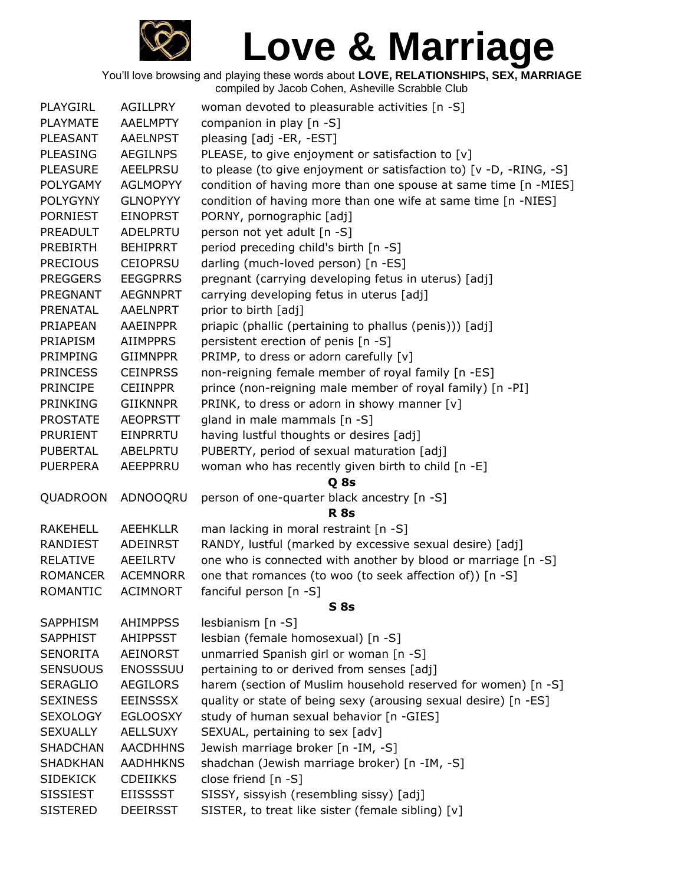

| PLAYGIRL        | <b>AGILLPRY</b> | woman devoted to pleasurable activities [n -S]                     |
|-----------------|-----------------|--------------------------------------------------------------------|
| <b>PLAYMATE</b> | <b>AAELMPTY</b> | companion in play [n -S]                                           |
| PLEASANT        | <b>AAELNPST</b> | pleasing [adj -ER, -EST]                                           |
| <b>PLEASING</b> | <b>AEGILNPS</b> | PLEASE, to give enjoyment or satisfaction to [v]                   |
| <b>PLEASURE</b> | <b>AEELPRSU</b> | to please (to give enjoyment or satisfaction to) [v -D, -RING, -S] |
| <b>POLYGAMY</b> | <b>AGLMOPYY</b> | condition of having more than one spouse at same time [n -MIES]    |
| <b>POLYGYNY</b> | <b>GLNOPYYY</b> | condition of having more than one wife at same time [n -NIES]      |
| <b>PORNIEST</b> | <b>EINOPRST</b> | PORNY, pornographic [adj]                                          |
| PREADULT        | ADELPRTU        | person not yet adult [n -S]                                        |
| <b>PREBIRTH</b> | <b>BEHIPRRT</b> | period preceding child's birth [n -S]                              |
| <b>PRECIOUS</b> | <b>CEIOPRSU</b> | darling (much-loved person) [n -ES]                                |
| <b>PREGGERS</b> | <b>EEGGPRRS</b> | pregnant (carrying developing fetus in uterus) [adj]               |
| PREGNANT        | <b>AEGNNPRT</b> | carrying developing fetus in uterus [adj]                          |
| PRENATAL        | <b>AAELNPRT</b> | prior to birth [adj]                                               |
| PRIAPEAN        | <b>AAEINPPR</b> | priapic (phallic (pertaining to phallus (penis))) [adj]            |
| <b>PRIAPISM</b> | <b>AIIMPPRS</b> | persistent erection of penis [n -S]                                |
| <b>PRIMPING</b> | <b>GIIMNPPR</b> | PRIMP, to dress or adorn carefully [v]                             |
| <b>PRINCESS</b> | <b>CEINPRSS</b> | non-reigning female member of royal family [n -ES]                 |
| <b>PRINCIPE</b> | <b>CEIINPPR</b> | prince (non-reigning male member of royal family) [n -PI]          |
| <b>PRINKING</b> | <b>GIIKNNPR</b> | PRINK, to dress or adorn in showy manner [v]                       |
| <b>PROSTATE</b> | <b>AEOPRSTT</b> | gland in male mammals [n -S]                                       |
| PRURIENT        | EINPRRTU        | having lustful thoughts or desires [adj]                           |
| <b>PUBERTAL</b> | ABELPRTU        | PUBERTY, period of sexual maturation [adj]                         |
| <b>PUERPERA</b> | AEEPPRRU        | woman who has recently given birth to child [n -E]                 |
|                 |                 | Q 8s                                                               |
| QUADROON        | ADNOOQRU        | person of one-quarter black ancestry [n -S]                        |
|                 |                 | <b>R</b> 8s                                                        |
| <b>RAKEHELL</b> | <b>AEEHKLLR</b> | man lacking in moral restraint [n -S]                              |
| RANDIEST        | <b>ADEINRST</b> | RANDY, lustful (marked by excessive sexual desire) [adj]           |
| <b>RELATIVE</b> | <b>AEEILRTV</b> | one who is connected with another by blood or marriage [n -S]      |
| <b>ROMANCER</b> | <b>ACEMNORR</b> | one that romances (to woo (to seek affection of)) [n -S]           |
| <b>ROMANTIC</b> | <b>ACIMNORT</b> | fanciful person [n -S]                                             |
|                 |                 | <b>S</b> 8s                                                        |
| <b>SAPPHISM</b> | <b>AHIMPPSS</b> | lesbianism [n -S]                                                  |
| <b>SAPPHIST</b> | <b>AHIPPSST</b> | lesbian (female homosexual) [n -S]                                 |
| <b>SENORITA</b> | AEINORST        | unmarried Spanish girl or woman [n -S]                             |
| <b>SENSUOUS</b> | <b>ENOSSSUU</b> | pertaining to or derived from senses [adj]                         |
| <b>SERAGLIO</b> | <b>AEGILORS</b> | harem (section of Muslim household reserved for women) [n -S]      |
| <b>SEXINESS</b> | <b>EEINSSSX</b> | quality or state of being sexy (arousing sexual desire) [n -ES]    |
| <b>SEXOLOGY</b> | <b>EGLOOSXY</b> | study of human sexual behavior [n -GIES]                           |
| <b>SEXUALLY</b> | <b>AELLSUXY</b> | SEXUAL, pertaining to sex [adv]                                    |
| <b>SHADCHAN</b> | <b>AACDHHNS</b> | Jewish marriage broker [n -IM, -S]                                 |
| <b>SHADKHAN</b> | <b>AADHHKNS</b> | shadchan (Jewish marriage broker) [n -IM, -S]                      |
| <b>SIDEKICK</b> | <b>CDEIIKKS</b> | close friend $[n -S]$                                              |
| <b>SISSIEST</b> | <b>EIISSSST</b> | SISSY, sissyish (resembling sissy) [adj]                           |
| <b>SISTERED</b> | <b>DEEIRSST</b> | SISTER, to treat like sister (female sibling) [v]                  |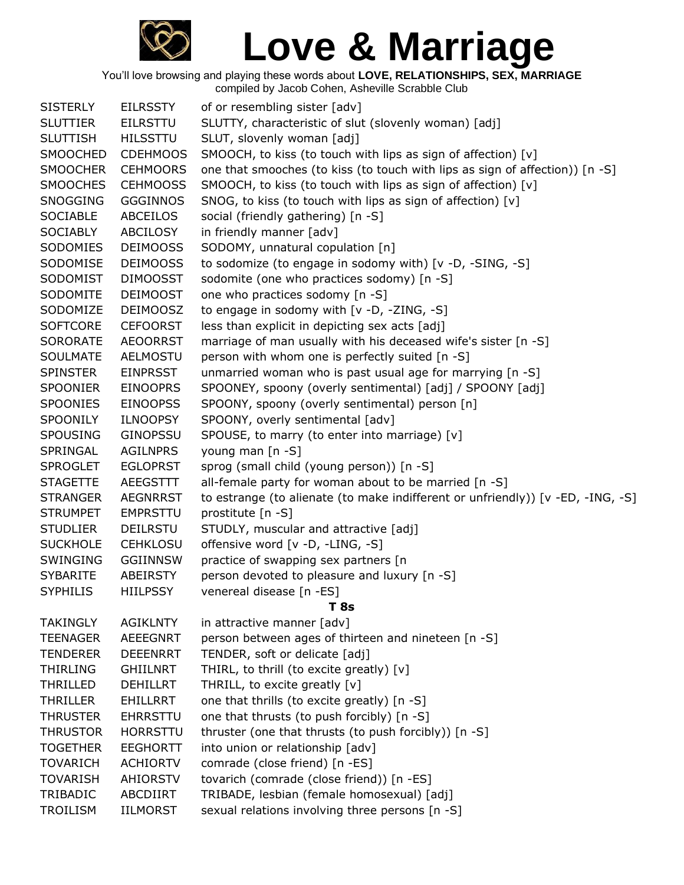

| <b>SISTERLY</b> | <b>EILRSSTY</b> | of or resembling sister [adv]                                                   |
|-----------------|-----------------|---------------------------------------------------------------------------------|
| <b>SLUTTIER</b> | <b>EILRSTTU</b> | SLUTTY, characteristic of slut (slovenly woman) [adj]                           |
| <b>SLUTTISH</b> | <b>HILSSTTU</b> | SLUT, slovenly woman [adj]                                                      |
| <b>SMOOCHED</b> | <b>CDEHMOOS</b> | SMOOCH, to kiss (to touch with lips as sign of affection) [v]                   |
| <b>SMOOCHER</b> | <b>CEHMOORS</b> | one that smooches (to kiss (to touch with lips as sign of affection)) [n -S]    |
| <b>SMOOCHES</b> | <b>CEHMOOSS</b> | SMOOCH, to kiss (to touch with lips as sign of affection) [v]                   |
| <b>SNOGGING</b> | <b>GGGINNOS</b> | SNOG, to kiss (to touch with lips as sign of affection) [v]                     |
| <b>SOCIABLE</b> | ABCEILOS        | social (friendly gathering) [n -S]                                              |
| <b>SOCIABLY</b> | ABCILOSY        | in friendly manner [adv]                                                        |
| SODOMIES        | <b>DEIMOOSS</b> | SODOMY, unnatural copulation [n]                                                |
| SODOMISE        | <b>DEIMOOSS</b> | to sodomize (to engage in sodomy with) [v -D, -SING, -S]                        |
| SODOMIST        | <b>DIMOOSST</b> | sodomite (one who practices sodomy) [n -S]                                      |
| SODOMITE        | <b>DEIMOOST</b> | one who practices sodomy [n -S]                                                 |
| SODOMIZE        | <b>DEIMOOSZ</b> | to engage in sodomy with [v -D, -ZING, -S]                                      |
| <b>SOFTCORE</b> | <b>CEFOORST</b> | less than explicit in depicting sex acts [adj]                                  |
| <b>SORORATE</b> | <b>AEOORRST</b> | marriage of man usually with his deceased wife's sister [n -S]                  |
| <b>SOULMATE</b> | <b>AELMOSTU</b> | person with whom one is perfectly suited [n -S]                                 |
| <b>SPINSTER</b> | <b>EINPRSST</b> | unmarried woman who is past usual age for marrying [n -S]                       |
| <b>SPOONIER</b> | <b>EINOOPRS</b> | SPOONEY, spoony (overly sentimental) [adj] / SPOONY [adj]                       |
| <b>SPOONIES</b> | <b>EINOOPSS</b> | SPOONY, spoony (overly sentimental) person [n]                                  |
| SPOONILY        | <b>ILNOOPSY</b> | SPOONY, overly sentimental [adv]                                                |
| <b>SPOUSING</b> | <b>GINOPSSU</b> | SPOUSE, to marry (to enter into marriage) [v]                                   |
| SPRINGAL        | <b>AGILNPRS</b> | young man [n -S]                                                                |
| <b>SPROGLET</b> | <b>EGLOPRST</b> | sprog (small child (young person)) [n -S]                                       |
| <b>STAGETTE</b> | AEEGSTTT        | all-female party for woman about to be married [n -S]                           |
| <b>STRANGER</b> | <b>AEGNRRST</b> | to estrange (to alienate (to make indifferent or unfriendly)) [v -ED, -ING, -S] |
| <b>STRUMPET</b> | <b>EMPRSTTU</b> | prostitute [n -S]                                                               |
| <b>STUDLIER</b> | <b>DEILRSTU</b> | STUDLY, muscular and attractive [adj]                                           |
| <b>SUCKHOLE</b> | <b>CEHKLOSU</b> | offensive word [v -D, -LING, -S]                                                |
| SWINGING        | <b>GGIINNSW</b> | practice of swapping sex partners [n                                            |
| <b>SYBARITE</b> | <b>ABEIRSTY</b> | person devoted to pleasure and luxury [n -S]                                    |
| <b>SYPHILIS</b> | <b>HIILPSSY</b> | venereal disease [n -ES]                                                        |
|                 |                 | <b>T</b> 8s                                                                     |
| <b>TAKINGLY</b> | <b>AGIKLNTY</b> | in attractive manner [adv]                                                      |
| <b>TEENAGER</b> | <b>AEEEGNRT</b> | person between ages of thirteen and nineteen [n -S]                             |
| <b>TENDERER</b> | <b>DEEENRRT</b> | TENDER, soft or delicate [adj]                                                  |
| <b>THIRLING</b> | <b>GHIILNRT</b> | THIRL, to thrill (to excite greatly) [v]                                        |
| <b>THRILLED</b> | <b>DEHILLRT</b> | THRILL, to excite greatly [v]                                                   |
| <b>THRILLER</b> | EHILLRRT        | one that thrills (to excite greatly) [n -S]                                     |
| <b>THRUSTER</b> | <b>EHRRSTTU</b> | one that thrusts (to push forcibly) [n -S]                                      |
| <b>THRUSTOR</b> | <b>HORRSTTU</b> | thruster (one that thrusts (to push forcibly)) [n -S]                           |
| <b>TOGETHER</b> | <b>EEGHORTT</b> | into union or relationship [adv]                                                |
| <b>TOVARICH</b> | <b>ACHIORTV</b> | comrade (close friend) [n -ES]                                                  |
| <b>TOVARISH</b> | <b>AHIORSTV</b> | tovarich (comrade (close friend)) [n -ES]                                       |
| TRIBADIC        | ABCDIIRT        | TRIBADE, lesbian (female homosexual) [adj]                                      |
| <b>TROILISM</b> | IILMORST        | sexual relations involving three persons [n -S]                                 |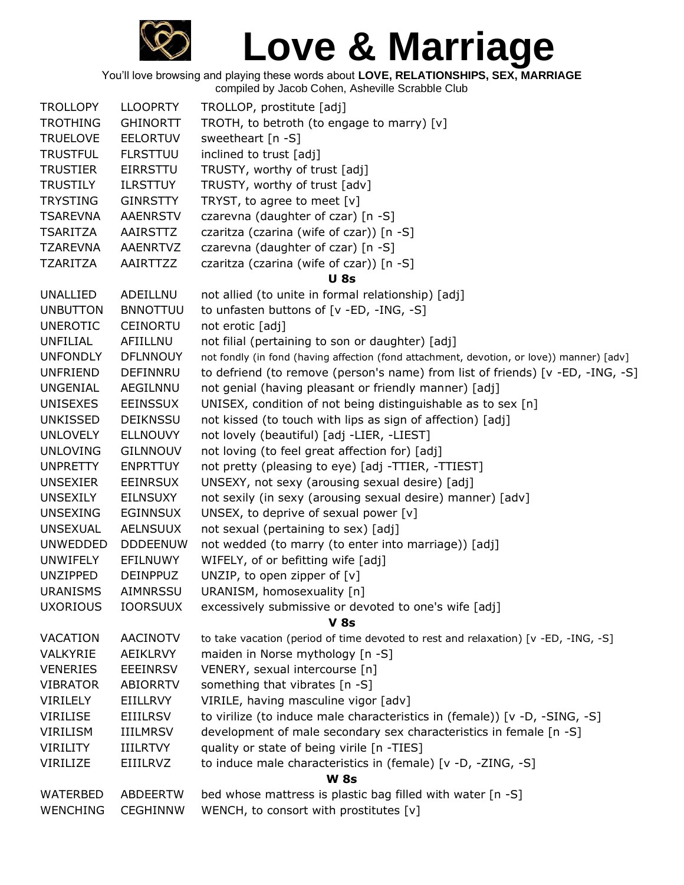

| <b>TROLLOPY</b> | <b>LLOOPRTY</b> | TROLLOP, prostitute [adj]                                                                 |  |  |  |
|-----------------|-----------------|-------------------------------------------------------------------------------------------|--|--|--|
| <b>TROTHING</b> | <b>GHINORTT</b> | TROTH, to betroth (to engage to marry) [v]                                                |  |  |  |
| <b>TRUELOVE</b> | <b>EELORTUV</b> | sweetheart $[n -S]$                                                                       |  |  |  |
| <b>TRUSTFUL</b> | <b>FLRSTTUU</b> | inclined to trust [adj]                                                                   |  |  |  |
| <b>TRUSTIER</b> | <b>EIRRSTTU</b> | TRUSTY, worthy of trust [adj]                                                             |  |  |  |
| <b>TRUSTILY</b> | <b>ILRSTTUY</b> | TRUSTY, worthy of trust [adv]                                                             |  |  |  |
| <b>TRYSTING</b> | <b>GINRSTTY</b> | TRYST, to agree to meet [v]                                                               |  |  |  |
| <b>TSAREVNA</b> | <b>AAENRSTV</b> | czarevna (daughter of czar) [n -S]                                                        |  |  |  |
| <b>TSARITZA</b> | AAIRSTTZ        | czaritza (czarina (wife of czar)) [n -S]                                                  |  |  |  |
| <b>TZAREVNA</b> | <b>AAENRTVZ</b> | czarevna (daughter of czar) [n -S]                                                        |  |  |  |
| <b>TZARITZA</b> | AAIRTTZZ        | czaritza (czarina (wife of czar)) [n -S]                                                  |  |  |  |
|                 |                 | <b>U</b> 8s                                                                               |  |  |  |
| <b>UNALLIED</b> | ADEILLNU        | not allied (to unite in formal relationship) [adj]                                        |  |  |  |
| <b>UNBUTTON</b> | <b>BNNOTTUU</b> | to unfasten buttons of [v -ED, -ING, -S]                                                  |  |  |  |
| <b>UNEROTIC</b> | <b>CEINORTU</b> | not erotic [adj]                                                                          |  |  |  |
| UNFILIAL        | AFIILLNU        | not filial (pertaining to son or daughter) [adj]                                          |  |  |  |
| <b>UNFONDLY</b> | <b>DFLNNOUY</b> | not fondly (in fond (having affection (fond attachment, devotion, or love)) manner) [adv] |  |  |  |
| <b>UNFRIEND</b> | DEFINNRU        | to defriend (to remove (person's name) from list of friends) [v -ED, -ING, -S]            |  |  |  |
| <b>UNGENIAL</b> | AEGILNNU        | not genial (having pleasant or friendly manner) [adj]                                     |  |  |  |
| <b>UNISEXES</b> | <b>EEINSSUX</b> | UNISEX, condition of not being distinguishable as to sex [n]                              |  |  |  |
| <b>UNKISSED</b> | <b>DEIKNSSU</b> | not kissed (to touch with lips as sign of affection) [adj]                                |  |  |  |
| <b>UNLOVELY</b> | <b>ELLNOUVY</b> | not lovely (beautiful) [adj -LIER, -LIEST]                                                |  |  |  |
| <b>UNLOVING</b> | <b>GILNNOUV</b> | not loving (to feel great affection for) [adj]                                            |  |  |  |
| <b>UNPRETTY</b> | <b>ENPRTTUY</b> | not pretty (pleasing to eye) [adj -TTIER, -TTIEST]                                        |  |  |  |
| <b>UNSEXIER</b> | <b>EEINRSUX</b> | UNSEXY, not sexy (arousing sexual desire) [adj]                                           |  |  |  |
| <b>UNSEXILY</b> | <b>EILNSUXY</b> | not sexily (in sexy (arousing sexual desire) manner) [adv]                                |  |  |  |
| <b>UNSEXING</b> | <b>EGINNSUX</b> | UNSEX, to deprive of sexual power $[v]$                                                   |  |  |  |
| <b>UNSEXUAL</b> | <b>AELNSUUX</b> | not sexual (pertaining to sex) [adj]                                                      |  |  |  |
| <b>UNWEDDED</b> | <b>DDDEENUW</b> | not wedded (to marry (to enter into marriage)) [adj]                                      |  |  |  |
| <b>UNWIFELY</b> | EFILNUWY        | WIFELY, of or befitting wife [adj]                                                        |  |  |  |
| <b>UNZIPPED</b> | <b>DEINPPUZ</b> | UNZIP, to open zipper of $[v]$                                                            |  |  |  |
| <b>URANISMS</b> | <b>AIMNRSSU</b> | URANISM, homosexuality [n]                                                                |  |  |  |
| <b>UXORIOUS</b> | <b>IOORSUUX</b> | excessively submissive or devoted to one's wife [adj]                                     |  |  |  |
|                 |                 | <b>V</b> 8s                                                                               |  |  |  |
| VACATION        | <b>AACINOTV</b> | to take vacation (period of time devoted to rest and relaxation) [v -ED, -ING, -S]        |  |  |  |
| VALKYRIE        | <b>AEIKLRVY</b> | maiden in Norse mythology [n -S]                                                          |  |  |  |
| <b>VENERIES</b> | <b>EEEINRSV</b> | VENERY, sexual intercourse [n]                                                            |  |  |  |
| <b>VIBRATOR</b> | <b>ABIORRTV</b> | something that vibrates [n -S]                                                            |  |  |  |
| VIRILELY        | EIILLRVY        | VIRILE, having masculine vigor [adv]                                                      |  |  |  |
| <b>VIRILISE</b> | <b>EIIILRSV</b> | to virilize (to induce male characteristics in (female)) [v -D, -SING, -S]                |  |  |  |
| <b>VIRILISM</b> | <b>IIILMRSV</b> | development of male secondary sex characteristics in female [n -S]                        |  |  |  |
| VIRILITY        | <b>IIILRTVY</b> | quality or state of being virile [n -TIES]                                                |  |  |  |
| VIRILIZE        | EIIILRVZ        | to induce male characteristics in (female) [v -D, -ZING, -S]                              |  |  |  |
| <b>W 8s</b>     |                 |                                                                                           |  |  |  |
| WATERBED        | ABDEERTW        | bed whose mattress is plastic bag filled with water [n -S]                                |  |  |  |
| <b>WENCHING</b> | <b>CEGHINNW</b> | WENCH, to consort with prostitutes [v]                                                    |  |  |  |
|                 |                 |                                                                                           |  |  |  |